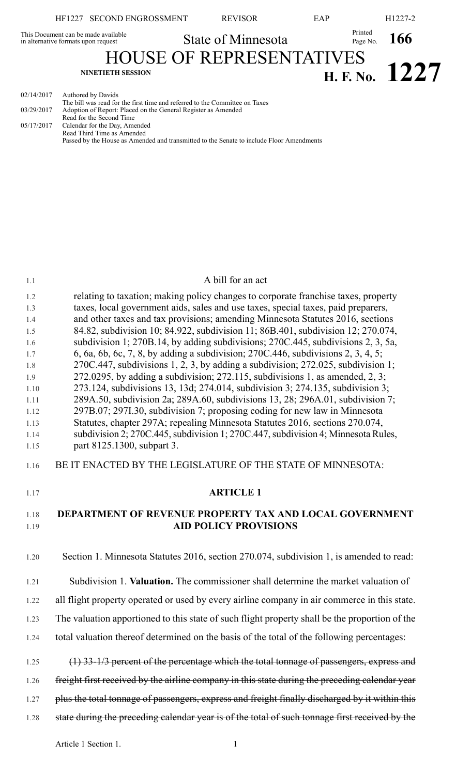|                                     | HF1227 SECOND ENGROSSMENT                                                                         | <b>REVISOR</b>            | EAP |                     | H <sub>1227</sub> -2 |
|-------------------------------------|---------------------------------------------------------------------------------------------------|---------------------------|-----|---------------------|----------------------|
| in alternative formats upon request | This Document can be made available                                                               | <b>State of Minnesota</b> |     | Printed<br>Page No. | 166                  |
|                                     | <b>HOUSE OF REPRESENTATIVES</b><br><b>NINETIETH SESSION</b>                                       |                           |     |                     | H. F. No. $1227$     |
| 02/14/2017                          | Authored by Davids<br>The bill was read for the first time and referred to the Committee on Taxes |                           |     |                     |                      |

The bill was read for the first time and referred to the Committee on Taxes 03/29/2017 Adoption of Report: Placed on the General Register as Amended Read for the Second Time 05/17/2017 Calendar for the Day, Amended Read Third Time as Amended Passed by the House as Amended and transmitted to the Senate to include Floor Amendments

# 1.1 A bill for an act 1.2 relating to taxation; making policy changes to corporate franchise taxes, property 1.3 taxes, local government aids, sales and use taxes, special taxes, paid preparers, 1.4 and other taxes and tax provisions; amending Minnesota Statutes 2016, sections 1.5 84.82, subdivision 10; 84.922, subdivision 11; 86B.401, subdivision 12; 270.074, 1.6 subdivision 1; 270B.14, by adding subdivisions; 270C.445, subdivisions 2, 3, 5a, 1.7 6, 6a, 6b, 6c, 7, 8, by adding a subdivision; 270C.446, subdivisions 2, 3, 4, 5; 1.8 270C.447, subdivisions 1, 2, 3, by adding a subdivision; 272.025, subdivision 1; 1.9 272.0295, by adding a subdivision; 272.115, subdivisions 1, as amended, 2, 3; 1.10 273.124, subdivisions 13, 13d; 274.014, subdivision 3; 274.135, subdivision 3; 1.11 289A.50, subdivision 2a; 289A.60, subdivisions 13, 28; 296A.01, subdivision 7; 1.12 297B.07; 297I.30, subdivision 7; proposing coding for new law in Minnesota 1.13 Statutes, chapter 297A; repealing Minnesota Statutes 2016, sections 270.074, 1.14 subdivision 2; 270C.445,subdivision 1; 270C.447,subdivision 4; Minnesota Rules, 1.15 part 8125.1300, subpart 3. 1.16 BE IT ENACTED BY THE LEGISLATURE OF THE STATE OF MINNESOTA: 1.17 **ARTICLE 1** 1.18 **DEPARTMENT OF REVENUE PROPERTY TAX AND LOCAL GOVERNMENT** 1.19 **AID POLICY PROVISIONS** 1.20 Section 1. Minnesota Statutes 2016, section 270.074, subdivision 1, is amended to read: 1.21 Subdivision 1. **Valuation.** The commissioner shall determine the market valuation of 1.22 all flight property operated or used by every airline company in air commerce in this state. 1.23 The valuation apportioned to this state of such flight property shall be the proportion of the

1.24 total valuation thereof determined on the basis of the total of the following percentages:

1.25 (1) 33-1/3 percent of the percentage which the total tonnage of passengers, express and 1.26 freight first received by the airline company in this state during the preceding calendar year 1.27 plus the total tonnage of passengers, express and freight finally discharged by it within this 1.28 state during the preceding calendar year is of the total of such tonnage first received by the

Article 1 Section 1.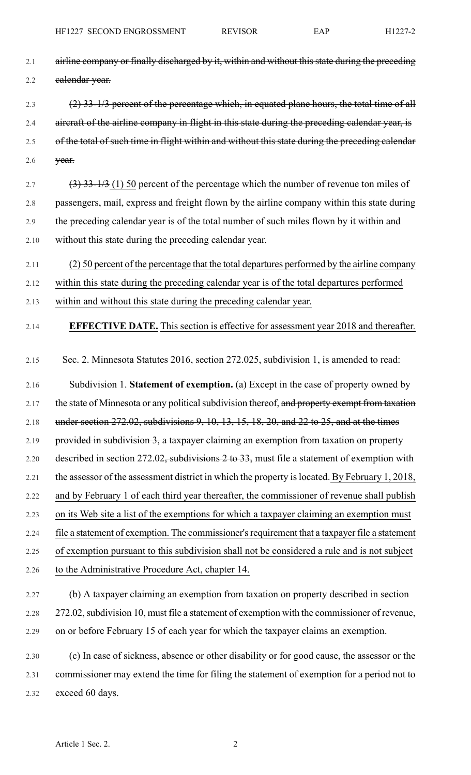- 2.1 airline company or finally discharged by it, within and without this state during the preceding 2.2 calendar year.
- 2.3 (2) 33-1/3 percent of the percentage which, in equated plane hours, the total time of all 2.4 aircraft of the airline company in flight in this state during the preceding calendar year, is 2.5 of the total of such time in flight within and without this state during the preceding calendar 2.6 year.
- 2.7 (3)  $33-1/3$  (1) 50 percent of the percentage which the number of revenue ton miles of 2.8 passengers, mail, express and freight flown by the airline company within this state during 2.9 the preceding calendar year is of the total number of such miles flown by it within and 2.10 without this state during the preceding calendar year.
- 2.11 (2) 50 percent of the percentage that the total departures performed by the airline company
- 2.12 within this state during the preceding calendar year is of the total departures performed
- 2.13 within and without this state during the preceding calendar year.
- 

2.14 **EFFECTIVE DATE.** This section is effective for assessment year 2018 and thereafter.

- 2.15 Sec. 2. Minnesota Statutes 2016, section 272.025, subdivision 1, is amended to read:
- 2.16 Subdivision 1. **Statement of exemption.** (a) Except in the case of property owned by 2.17 the state of Minnesota or any political subdivision thereof, and property exempt from taxation 2.18 under section 272.02, subdivisions 9, 10, 13, 15, 18, 20, and 22 to 25, and at the times 2.19 provided in subdivision 3, a taxpayer claiming an exemption from taxation on property 2.20 described in section 272.02, subdivisions 2 to 33, must file a statement of exemption with 2.21 the assessor of the assessment district in which the property is located. By February 1, 2018, 2.22 and by February 1 of each third year thereafter, the commissioner of revenue shall publish 2.23 on its Web site a list of the exemptions for which a taxpayer claiming an exemption must 2.24 file a statement of exemption. The commissioner's requirement that a taxpayer file a statement 2.25 of exemption pursuant to this subdivision shall not be considered a rule and is not subject 2.26 to the Administrative Procedure Act, chapter 14.
- 2.27 (b) A taxpayer claiming an exemption from taxation on property described in section 2.28 272.02,subdivision 10, must file a statement of exemption with the commissioner of revenue, 2.29 on or before February 15 of each year for which the taxpayer claims an exemption.
- 2.30 (c) In case of sickness, absence or other disability or for good cause, the assessor or the 2.31 commissioner may extend the time for filing the statement of exemption for a period not to 2.32 exceed 60 days.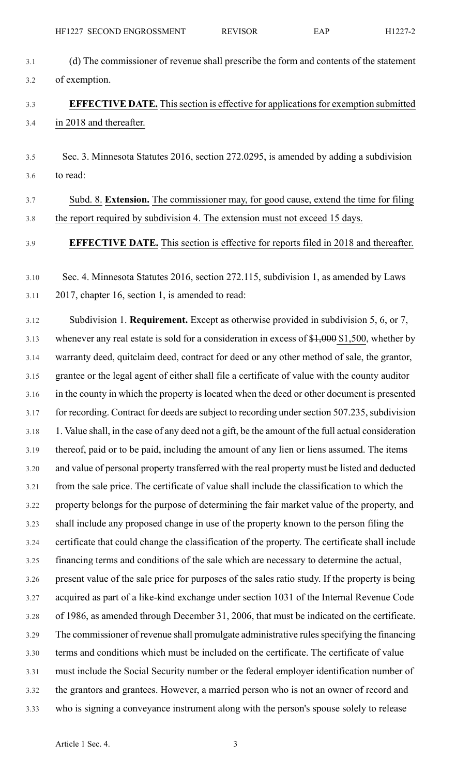| 3.1  | (d) The commissioner of revenue shall prescribe the form and contents of the statement               |
|------|------------------------------------------------------------------------------------------------------|
| 3.2  | of exemption.                                                                                        |
| 3.3  | <b>EFFECTIVE DATE.</b> This section is effective for applications for exemption submitted            |
| 3.4  | in 2018 and thereafter.                                                                              |
| 3.5  | Sec. 3. Minnesota Statutes 2016, section 272.0295, is amended by adding a subdivision                |
| 3.6  | to read:                                                                                             |
| 3.7  | Subd. 8. Extension. The commissioner may, for good cause, extend the time for filing                 |
| 3.8  | the report required by subdivision 4. The extension must not exceed 15 days.                         |
| 3.9  | <b>EFFECTIVE DATE.</b> This section is effective for reports filed in 2018 and thereafter.           |
| 3.10 | Sec. 4. Minnesota Statutes 2016, section 272.115, subdivision 1, as amended by Laws                  |
| 3.11 | 2017, chapter 16, section 1, is amended to read:                                                     |
| 3.12 | Subdivision 1. <b>Requirement.</b> Except as otherwise provided in subdivision 5, 6, or 7,           |
| 3.13 | whenever any real estate is sold for a consideration in excess of $\frac{1,000}{1,500}$ , whether by |
| 3.14 | warranty deed, quitclaim deed, contract for deed or any other method of sale, the grantor,           |
| 3.15 | grantee or the legal agent of either shall file a certificate of value with the county auditor       |
| 3.16 | in the county in which the property is located when the deed or other document is presented          |
| 3.17 | for recording. Contract for deeds are subject to recording under section 507.235, subdivision        |
| 3.18 | 1. Value shall, in the case of any deed not a gift, be the amount of the full actual consideration   |
| 3.19 | thereof, paid or to be paid, including the amount of any lien or liens assumed. The items            |
| 3.20 | and value of personal property transferred with the real property must be listed and deducted        |
| 3.21 | from the sale price. The certificate of value shall include the classification to which the          |
| 3.22 | property belongs for the purpose of determining the fair market value of the property, and           |
| 3.23 | shall include any proposed change in use of the property known to the person filing the              |
| 3.24 | certificate that could change the classification of the property. The certificate shall include      |
| 3.25 | financing terms and conditions of the sale which are necessary to determine the actual,              |
| 3.26 | present value of the sale price for purposes of the sales ratio study. If the property is being      |
| 3.27 | acquired as part of a like-kind exchange under section 1031 of the Internal Revenue Code             |
| 3.28 | of 1986, as amended through December 31, 2006, that must be indicated on the certificate.            |
| 3.29 | The commissioner of revenue shall promulgate administrative rules specifying the financing           |
| 3.30 | terms and conditions which must be included on the certificate. The certificate of value             |
| 3.31 | must include the Social Security number or the federal employer identification number of             |
| 3.32 | the grantors and grantees. However, a married person who is not an owner of record and               |
| 3.33 | who is signing a conveyance instrument along with the person's spouse solely to release              |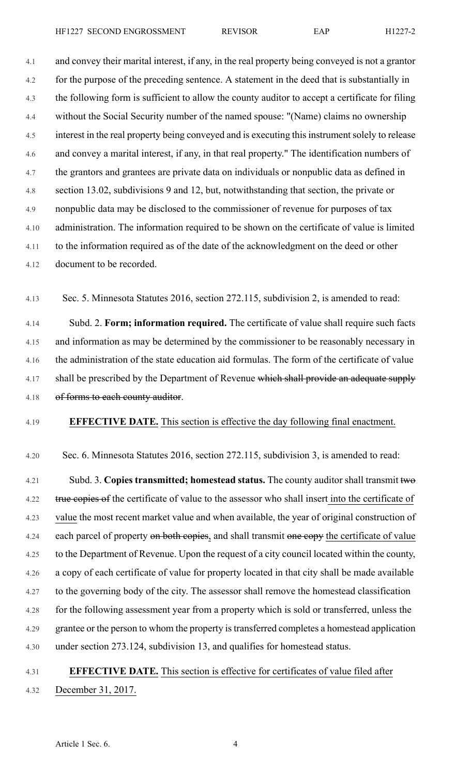4.1 and convey their marital interest, if any, in the real property being conveyed is not a grantor 4.2 for the purpose of the preceding sentence. A statement in the deed that is substantially in 4.3 the following form is sufficient to allow the county auditor to accept a certificate for filing 4.4 without the Social Security number of the named spouse: "(Name) claims no ownership 4.5 interest in the real property being conveyed and is executing this instrument solely to release 4.6 and convey a marital interest, if any, in that real property." The identification numbers of 4.7 the grantors and grantees are private data on individuals or nonpublic data as defined in 4.8 section 13.02, subdivisions 9 and 12, but, notwithstanding that section, the private or 4.9 nonpublic data may be disclosed to the commissioner of revenue for purposes of tax 4.10 administration. The information required to be shown on the certificate of value is limited 4.11 to the information required as of the date of the acknowledgment on the deed or other 4.12 document to be recorded.

4.13 Sec. 5. Minnesota Statutes 2016, section 272.115, subdivision 2, is amended to read:

4.14 Subd. 2. **Form; information required.** The certificate of value shall require such facts 4.15 and information as may be determined by the commissioner to be reasonably necessary in 4.16 the administration of the state education aid formulas. The form of the certificate of value 4.17 shall be prescribed by the Department of Revenue which shall provide an adequate supply 4.18 of forms to each county auditor.

4.19 **EFFECTIVE DATE.** This section is effective the day following final enactment.

4.20 Sec. 6. Minnesota Statutes 2016, section 272.115, subdivision 3, is amended to read:

4.21 Subd. 3. **Copies transmitted; homestead status.** The county auditor shall transmit two 4.22 true copies of the certificate of value to the assessor who shall insert into the certificate of 4.23 value the most recent market value and when available, the year of original construction of 4.24 each parcel of property on both copies, and shall transmit one copy the certificate of value 4.25 to the Department of Revenue. Upon the request of a city council located within the county, 4.26 a copy of each certificate of value for property located in that city shall be made available 4.27 to the governing body of the city. The assessor shall remove the homestead classification 4.28 for the following assessment year from a property which is sold or transferred, unless the 4.29 grantee or the person to whom the property istransferred completes a homestead application 4.30 under section 273.124, subdivision 13, and qualifies for homestead status.

# 4.31 **EFFECTIVE DATE.** This section is effective for certificates of value filed after 4.32 December 31, 2017.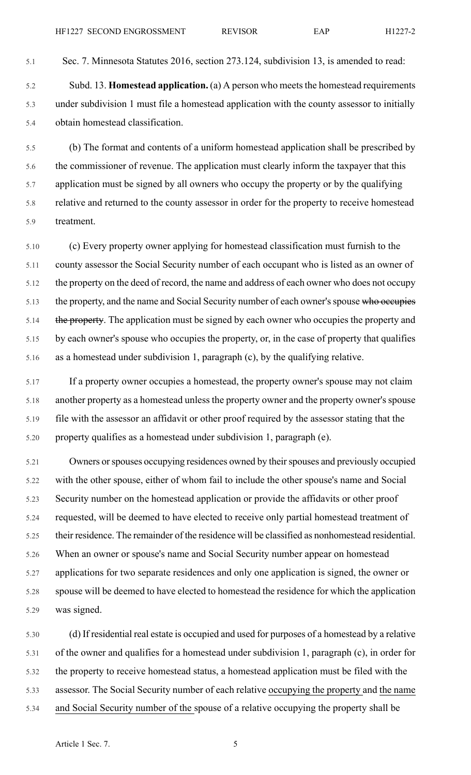5.1 Sec. 7. Minnesota Statutes 2016, section 273.124, subdivision 13, is amended to read:

5.2 Subd. 13. **Homestead application.** (a) A person who meetsthe homestead requirements 5.3 under subdivision 1 must file a homestead application with the county assessor to initially 5.4 obtain homestead classification.

5.5 (b) The format and contents of a uniform homestead application shall be prescribed by 5.6 the commissioner of revenue. The application must clearly inform the taxpayer that this 5.7 application must be signed by all owners who occupy the property or by the qualifying 5.8 relative and returned to the county assessor in order for the property to receive homestead 5.9 treatment.

5.10 (c) Every property owner applying for homestead classification must furnish to the 5.11 county assessor the Social Security number of each occupant who is listed as an owner of 5.12 the property on the deed of record, the name and address of each owner who does not occupy 5.13 the property, and the name and Social Security number of each owner's spouse who occupies 5.14 the property. The application must be signed by each owner who occupies the property and 5.15 by each owner's spouse who occupies the property, or, in the case of property that qualifies 5.16 as a homestead under subdivision 1, paragraph (c), by the qualifying relative.

5.17 If a property owner occupies a homestead, the property owner's spouse may not claim 5.18 another property as a homestead unless the property owner and the property owner's spouse 5.19 file with the assessor an affidavit or other proof required by the assessor stating that the 5.20 property qualifies as a homestead under subdivision 1, paragraph (e).

5.21 Owners or spouses occupying residences owned by their spouses and previously occupied 5.22 with the other spouse, either of whom fail to include the other spouse's name and Social 5.23 Security number on the homestead application or provide the affidavits or other proof 5.24 requested, will be deemed to have elected to receive only partial homestead treatment of 5.25 their residence. The remainder of the residence will be classified as nonhomestead residential. 5.26 When an owner or spouse's name and Social Security number appear on homestead 5.27 applications for two separate residences and only one application is signed, the owner or 5.28 spouse will be deemed to have elected to homestead the residence for which the application 5.29 was signed.

5.30 (d) If residential real estate is occupied and used for purposes of a homestead by a relative 5.31 of the owner and qualifies for a homestead under subdivision 1, paragraph (c), in order for 5.32 the property to receive homestead status, a homestead application must be filed with the 5.33 assessor. The Social Security number of each relative occupying the property and the name 5.34 and Social Security number of the spouse of a relative occupying the property shall be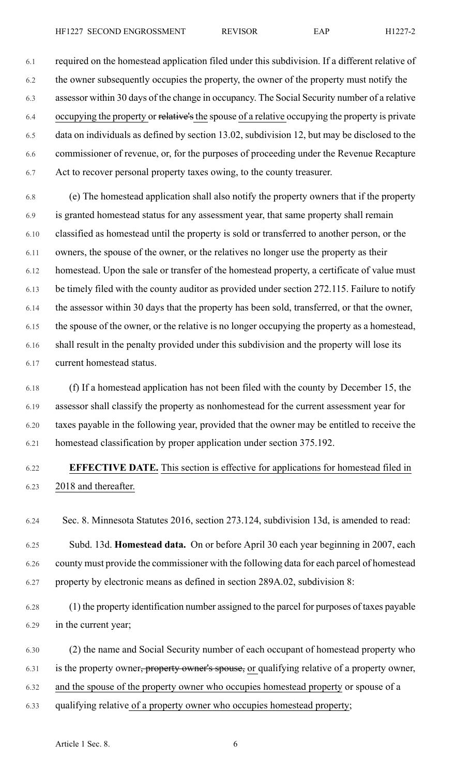6.1 required on the homestead application filed under this subdivision. If a different relative of 6.2 the owner subsequently occupies the property, the owner of the property must notify the 6.3 assessor within 30 days of the change in occupancy. The Social Security number of a relative 6.4 occupying the property or relative's the spouse of a relative occupying the property is private 6.5 data on individuals as defined by section 13.02, subdivision 12, but may be disclosed to the 6.6 commissioner of revenue, or, for the purposes of proceeding under the Revenue Recapture

6.7 Act to recover personal property taxes owing, to the county treasurer.

6.8 (e) The homestead application shall also notify the property owners that if the property 6.9 is granted homestead status for any assessment year, that same property shall remain 6.10 classified as homestead until the property is sold or transferred to another person, or the 6.11 owners, the spouse of the owner, or the relatives no longer use the property as their 6.12 homestead. Upon the sale or transfer of the homestead property, a certificate of value must 6.13 be timely filed with the county auditor as provided under section 272.115. Failure to notify 6.14 the assessor within 30 days that the property has been sold, transferred, or that the owner, 6.15 the spouse of the owner, or the relative is no longer occupying the property as a homestead, 6.16 shall result in the penalty provided under this subdivision and the property will lose its 6.17 current homestead status.

6.18 (f) If a homestead application has not been filed with the county by December 15, the 6.19 assessor shall classify the property as nonhomestead for the current assessment year for 6.20 taxes payable in the following year, provided that the owner may be entitled to receive the 6.21 homestead classification by proper application under section 375.192.

# 6.22 **EFFECTIVE DATE.** This section is effective for applications for homestead filed in 6.23 2018 and thereafter.

6.24 Sec. 8. Minnesota Statutes 2016, section 273.124, subdivision 13d, is amended to read:

6.25 Subd. 13d. **Homestead data.** On or before April 30 each year beginning in 2007, each 6.26 county must provide the commissioner with the following data for each parcel of homestead 6.27 property by electronic means as defined in section 289A.02, subdivision 8:

6.28 (1) the property identification number assigned to the parcel for purposes of taxes payable 6.29 in the current year;

6.30 (2) the name and Social Security number of each occupant of homestead property who 6.31 is the property owner<del>, property owner's spouse,</del> or qualifying relative of a property owner, 6.32 and the spouse of the property owner who occupies homestead property or spouse of a

6.33 qualifying relative of a property owner who occupies homestead property;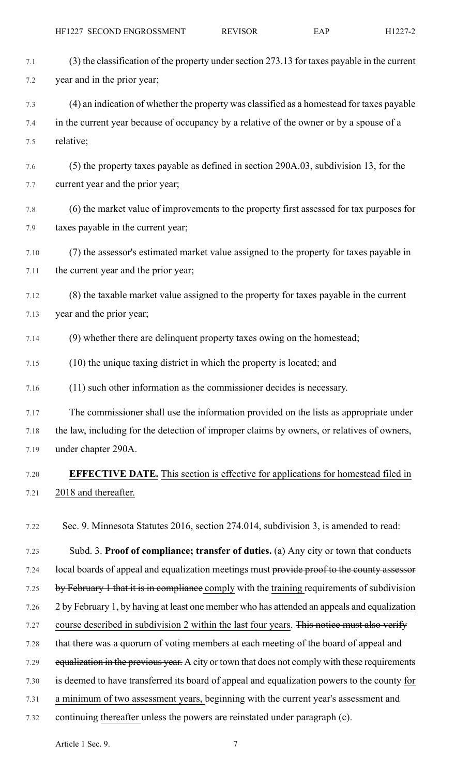7.1 (3) the classification of the property under section 273.13 for taxes payable in the current 7.2 year and in the prior year;

7.3 (4) an indication of whether the property was classified as a homestead for taxes payable 7.4 in the current year because of occupancy by a relative of the owner or by a spouse of a 7.5 relative;

7.6 (5) the property taxes payable as defined in section 290A.03, subdivision 13, for the 7.7 current year and the prior year;

7.8 (6) the market value of improvements to the property first assessed for tax purposes for 7.9 taxes payable in the current year;

7.10 (7) the assessor's estimated market value assigned to the property for taxes payable in 7.11 the current year and the prior year;

7.12 (8) the taxable market value assigned to the property for taxes payable in the current 7.13 year and the prior year;

7.14 (9) whether there are delinquent property taxes owing on the homestead;

7.15 (10) the unique taxing district in which the property is located; and

7.16 (11) such other information as the commissioner decides is necessary.

7.17 The commissioner shall use the information provided on the lists as appropriate under 7.18 the law, including for the detection of improper claims by owners, or relatives of owners, 7.19 under chapter 290A.

# 7.20 **EFFECTIVE DATE.** This section is effective for applications for homestead filed in 7.21 2018 and thereafter.

7.22 Sec. 9. Minnesota Statutes 2016, section 274.014, subdivision 3, is amended to read:

7.23 Subd. 3. **Proof of compliance; transfer of duties.** (a) Any city or town that conducts 7.24 local boards of appeal and equalization meetings must provide proof to the county assessor 7.25 by February 1 that it is in compliance comply with the training requirements of subdivision 7.26 2 by February 1, by having at least one member who has attended an appeals and equalization 7.27 course described in subdivision 2 within the last four years. This notice must also verify 7.28 that there was a quorum of voting members at each meeting of the board of appeal and 7.29 equalization in the previous year. A city or town that does not comply with these requirements 7.30 is deemed to have transferred its board of appeal and equalization powers to the county for

- 7.31 a minimum of two assessment years, beginning with the current year's assessment and
- 7.32 continuing thereafter unless the powers are reinstated under paragraph (c).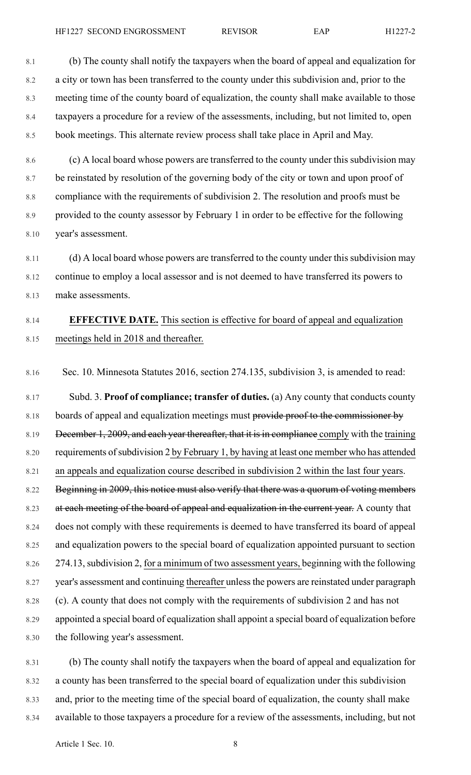8.1 (b) The county shall notify the taxpayers when the board of appeal and equalization for 8.2 a city or town has been transferred to the county under this subdivision and, prior to the 8.3 meeting time of the county board of equalization, the county shall make available to those 8.4 taxpayers a procedure for a review of the assessments, including, but not limited to, open 8.5 book meetings. This alternate review process shall take place in April and May.

8.6 (c) A local board whose powers are transferred to the county under this subdivision may 8.7 be reinstated by resolution of the governing body of the city or town and upon proof of 8.8 compliance with the requirements of subdivision 2. The resolution and proofs must be 8.9 provided to the county assessor by February 1 in order to be effective for the following 8.10 year's assessment.

8.11 (d) A local board whose powers are transferred to the county under this subdivision may 8.12 continue to employ a local assessor and is not deemed to have transferred its powers to 8.13 make assessments.

### 8.14 **EFFECTIVE DATE.** This section is effective for board of appeal and equalization 8.15 meetings held in 2018 and thereafter.

8.16 Sec. 10. Minnesota Statutes 2016, section 274.135, subdivision 3, is amended to read:

8.17 Subd. 3. **Proof of compliance; transfer of duties.** (a) Any county that conducts county 8.18 boards of appeal and equalization meetings must provide proof to the commissioner by 8.19 December 1, 2009, and each year thereafter, that it is in compliance comply with the training 8.20 requirements of subdivision 2 by February 1, by having at least one member who has attended 8.21 an appeals and equalization course described in subdivision 2 within the last four years. 8.22 Beginning in 2009, this notice must also verify that there was a quorum of voting members 8.23 at each meeting of the board of appeal and equalization in the current year. A county that 8.24 does not comply with these requirements is deemed to have transferred its board of appeal 8.25 and equalization powers to the special board of equalization appointed pursuant to section 8.26 274.13,subdivision 2, for a minimum of two assessment years, beginning with the following 8.27 year's assessment and continuing thereafter unless the powers are reinstated under paragraph 8.28 (c). A county that does not comply with the requirements of subdivision 2 and has not 8.29 appointed a special board of equalization shall appoint a special board of equalization before 8.30 the following year's assessment.

8.31 (b) The county shall notify the taxpayers when the board of appeal and equalization for 8.32 a county has been transferred to the special board of equalization under this subdivision 8.33 and, prior to the meeting time of the special board of equalization, the county shall make 8.34 available to those taxpayers a procedure for a review of the assessments, including, but not

Article 1 Sec. 10. 8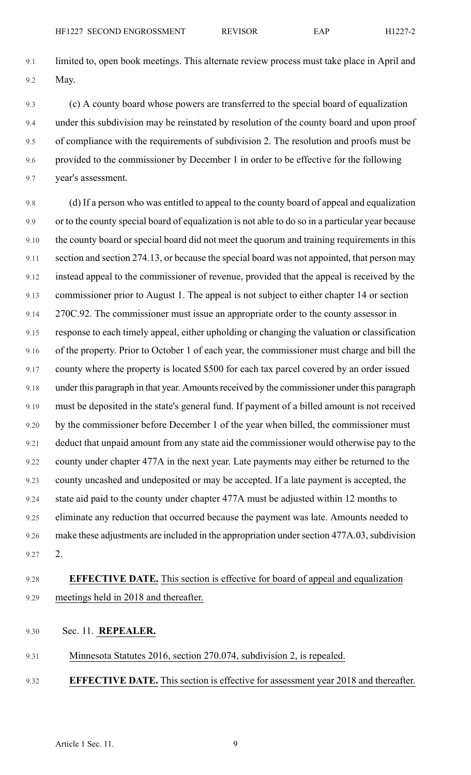9.1 limited to, open book meetings. This alternate review process must take place in April and 9.2 May.

9.3 (c) A county board whose powers are transferred to the special board of equalization 9.4 under this subdivision may be reinstated by resolution of the county board and upon proof 9.5 of compliance with the requirements of subdivision 2. The resolution and proofs must be 9.6 provided to the commissioner by December 1 in order to be effective for the following 9.7 year's assessment.

9.8 (d) If a person who was entitled to appeal to the county board of appeal and equalization 9.9 or to the county special board of equalization is not able to do so in a particular year because 9.10 the county board or special board did not meet the quorum and training requirements in this 9.11 section and section 274.13, or because the special board was not appointed, that person may 9.12 instead appeal to the commissioner of revenue, provided that the appeal is received by the 9.13 commissioner prior to August 1. The appeal is not subject to either chapter 14 or section 9.14 270C.92. The commissioner must issue an appropriate order to the county assessor in 9.15 response to each timely appeal, either upholding or changing the valuation or classification 9.16 of the property. Prior to October 1 of each year, the commissioner must charge and bill the 9.17 county where the property is located \$500 for each tax parcel covered by an order issued 9.18 under this paragraph in that year. Amounts received by the commissioner under this paragraph 9.19 must be deposited in the state's general fund. If payment of a billed amount is not received 9.20 by the commissioner before December 1 of the year when billed, the commissioner must 9.21 deduct that unpaid amount from any state aid the commissioner would otherwise pay to the 9.22 county under chapter 477A in the next year. Late payments may either be returned to the 9.23 county uncashed and undeposited or may be accepted. If a late payment is accepted, the 9.24 state aid paid to the county under chapter 477A must be adjusted within 12 months to 9.25 eliminate any reduction that occurred because the payment was late. Amounts needed to 9.26 make these adjustments are included in the appropriation under section 477A.03, subdivision 9.27 2.

# 9.28 **EFFECTIVE DATE.** This section is effective for board of appeal and equalization 9.29 meetings held in 2018 and thereafter.

- 9.30 Sec. 11. **REPEALER.**
- 9.31 Minnesota Statutes 2016, section 270.074, subdivision 2, is repealed.
- 9.32 **EFFECTIVE DATE.** This section is effective for assessment year 2018 and thereafter.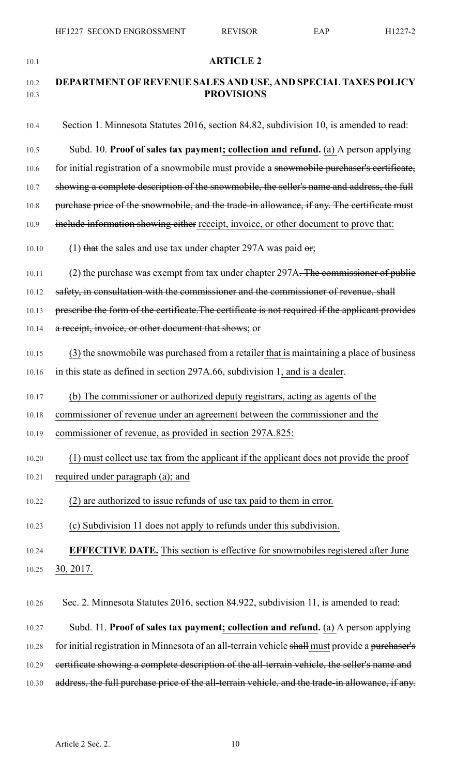| 10.1         | <b>ARTICLE 2</b>                                                                                 |
|--------------|--------------------------------------------------------------------------------------------------|
| 10.2<br>10.3 | DEPARTMENT OF REVENUE SALES AND USE, AND SPECIAL TAXES POLICY<br><b>PROVISIONS</b>               |
| 10.4         | Section 1. Minnesota Statutes 2016, section 84.82, subdivision 10, is amended to read:           |
| 10.5         | Subd. 10. Proof of sales tax payment; collection and refund. (a) A person applying               |
| 10.6         | for initial registration of a snowmobile must provide a snowmobile purchaser's certificate,      |
| 10.7         | showing a complete description of the snowmobile, the seller's name and address, the full        |
| 10.8         | purchase price of the snowmobile, and the trade-in allowance, if any. The certificate must       |
| 10.9         | include information showing either receipt, invoice, or other document to prove that:            |
| 10.10        | (1) that the sales and use tax under chapter 297A was paid $\theta$ r;                           |
| 10.11        | (2) the purchase was exempt from tax under chapter 297A. The commissioner of public              |
| 10.12        | safety, in consultation with the commissioner and the commissioner of revenue, shall             |
| 10.13        | prescribe the form of the certificate. The certificate is not required if the applicant provides |
| 10.14        | a receipt, invoice, or other document that shows; or                                             |
| 10.15        | (3) the snowmobile was purchased from a retailer that is maintaining a place of business         |
| 10.16        | in this state as defined in section 297A.66, subdivision 1, and is a dealer.                     |
| 10.17        | (b) The commissioner or authorized deputy registrars, acting as agents of the                    |
| 10.18        | commissioner of revenue under an agreement between the commissioner and the                      |
| 10.19        | commissioner of revenue, as provided in section 297A.825:                                        |
| 10.20        | (1) must collect use tax from the applicant if the applicant does not provide the proof          |
| 10.21        | required under paragraph (a); and                                                                |
| 10.22        | (2) are authorized to issue refunds of use tax paid to them in error.                            |
| 10.23        | (c) Subdivision 11 does not apply to refunds under this subdivision.                             |
| 10.24        | <b>EFFECTIVE DATE.</b> This section is effective for snowmobiles registered after June           |
| 10.25        | 30, 2017.                                                                                        |
| 10.26        | Sec. 2. Minnesota Statutes 2016, section 84.922, subdivision 11, is amended to read:             |
| 10.27        | Subd. 11. Proof of sales tax payment; collection and refund. (a) A person applying               |
| 10.28        | for initial registration in Minnesota of an all-terrain vehicle shall must provide a purchaser's |
| 10.29        | ecrtificate showing a complete description of the all-terrain vehicle, the seller's name and     |
| 10.30        | address, the full purchase price of the all-terrain vehicle, and the trade-in allowance, if any. |
|              |                                                                                                  |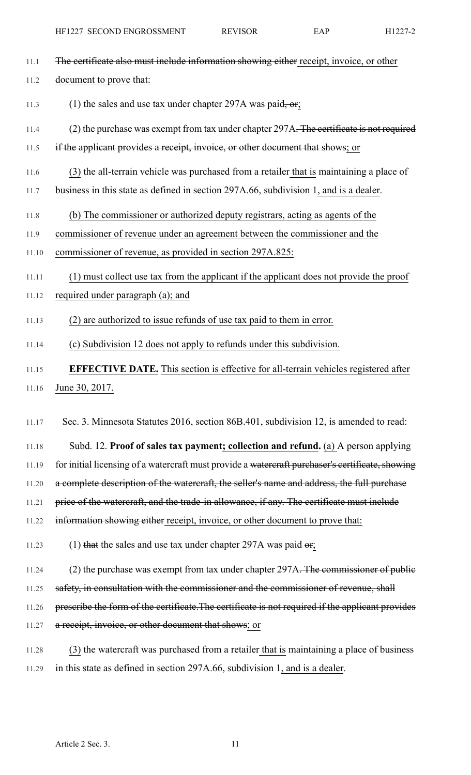11.1 The certificate also must include information showing either receipt, invoice, or other

### 11.2 document to prove that:

- 11.3 (1) the sales and use tax under chapter 297A was paid,  $-$ or;
- 11.4 (2) the purchase was exempt from tax under chapter 297A. The certificate is not required
- 11.5 if the applicant provides a receipt, invoice, or other document that shows; or
- 11.6 (3) the all-terrain vehicle was purchased from a retailer that is maintaining a place of
- 11.7 business in this state as defined in section 297A.66, subdivision 1, and is a dealer.
- 11.8 (b) The commissioner or authorized deputy registrars, acting as agents of the
- 11.9 commissioner of revenue under an agreement between the commissioner and the
- 11.10 commissioner of revenue, as provided in section 297A.825:
- 11.11 (1) must collect use tax from the applicant if the applicant does not provide the proof
- 11.12 required under paragraph (a); and
- 11.13 (2) are authorized to issue refunds of use tax paid to them in error.
- 11.14 (c) Subdivision 12 does not apply to refunds under this subdivision.
- 11.15 **EFFECTIVE DATE.** This section is effective for all-terrain vehicles registered after 11.16 June 30, 2017.

11.17 Sec. 3. Minnesota Statutes 2016, section 86B.401, subdivision 12, is amended to read:

11.18 Subd. 12. **Proof of sales tax payment; collection and refund.** (a) A person applying 11.19 for initial licensing of a watercraft must provide a watercraft purchaser's certificate, showing 11.20 a complete description of the watercraft, the seller's name and address, the full purchase

- 11.21 price of the watercraft, and the trade-in allowance, if any. The certificate must include
- 11.22 information showing either receipt, invoice, or other document to prove that:
- 11.23 (1) that the sales and use tax under chapter 297A was paid  $\sigma$ ;
- 11.24 (2) the purchase was exempt from tax under chapter 297A. The commissioner of public
- 11.25 safety, in consultation with the commissioner and the commissioner of revenue, shall
- 11.26 prescribe the form of the certificate. The certificate is not required if the applicant provides
- 11.27 a receipt, invoice, or other document that shows; or
- 11.28 (3) the watercraft was purchased from a retailer that is maintaining a place of business 11.29 in this state as defined in section 297A.66, subdivision 1, and is a dealer.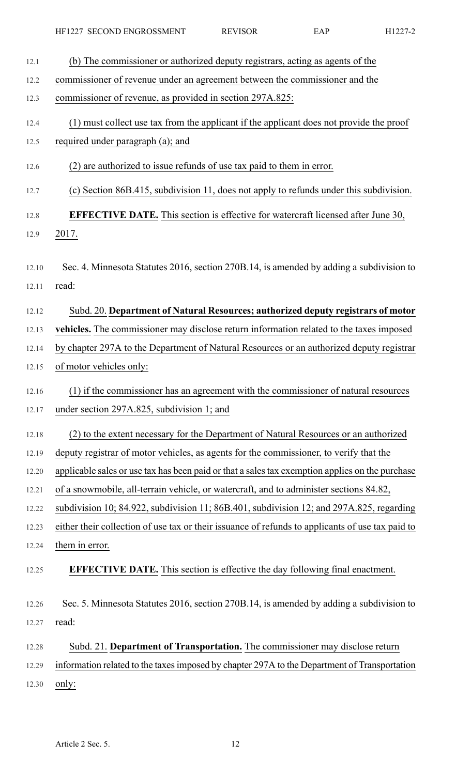| 12.1  | (b) The commissioner or authorized deputy registrars, acting as agents of the                    |
|-------|--------------------------------------------------------------------------------------------------|
| 12.2  | commissioner of revenue under an agreement between the commissioner and the                      |
| 12.3  | commissioner of revenue, as provided in section 297A.825:                                        |
| 12.4  | (1) must collect use tax from the applicant if the applicant does not provide the proof          |
| 12.5  | required under paragraph (a); and                                                                |
| 12.6  | (2) are authorized to issue refunds of use tax paid to them in error.                            |
| 12.7  | (c) Section 86B.415, subdivision 11, does not apply to refunds under this subdivision.           |
| 12.8  | <b>EFFECTIVE DATE.</b> This section is effective for watercraft licensed after June 30,          |
| 12.9  | 2017.                                                                                            |
| 12.10 | Sec. 4. Minnesota Statutes 2016, section 270B.14, is amended by adding a subdivision to          |
| 12.11 | read:                                                                                            |
| 12.12 | Subd. 20. Department of Natural Resources; authorized deputy registrars of motor                 |
| 12.13 | vehicles. The commissioner may disclose return information related to the taxes imposed          |
| 12.14 | by chapter 297A to the Department of Natural Resources or an authorized deputy registrar         |
| 12.15 | of motor vehicles only:                                                                          |
| 12.16 | (1) if the commissioner has an agreement with the commissioner of natural resources              |
| 12.17 | under section 297A.825, subdivision 1; and                                                       |
|       |                                                                                                  |
| 12.18 | (2) to the extent necessary for the Department of Natural Resources or an authorized             |
| 12.19 | deputy registrar of motor vehicles, as agents for the commissioner, to verify that the           |
| 12.20 | applicable sales or use tax has been paid or that a sales tax exemption applies on the purchase  |
| 12.21 | of a snowmobile, all-terrain vehicle, or watercraft, and to administer sections 84.82,           |
| 12.22 | subdivision 10; 84.922, subdivision 11; 86B.401, subdivision 12; and 297A.825, regarding         |
| 12.23 | either their collection of use tax or their issuance of refunds to applicants of use tax paid to |
| 12.24 | them in error.                                                                                   |
| 12.25 | <b>EFFECTIVE DATE.</b> This section is effective the day following final enactment.              |
| 12.26 | Sec. 5. Minnesota Statutes 2016, section 270B.14, is amended by adding a subdivision to          |
| 12.27 | read:                                                                                            |
| 12.28 | Subd. 21. Department of Transportation. The commissioner may disclose return                     |
| 12.29 | information related to the taxes imposed by chapter 297A to the Department of Transportation     |
| 12.30 | only:                                                                                            |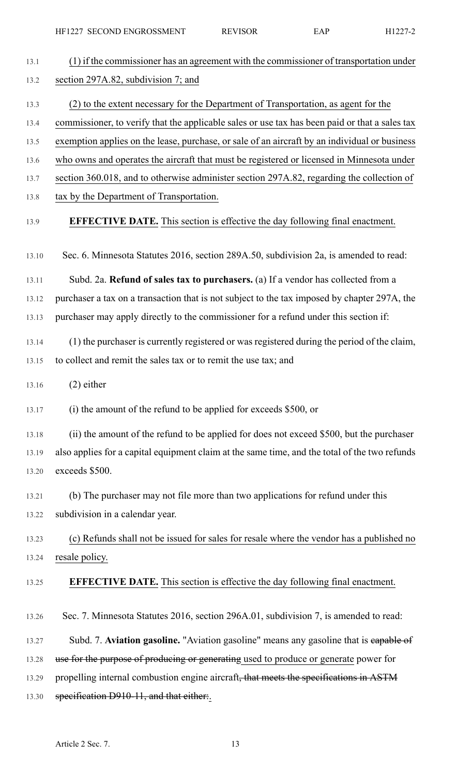HF1227 SECOND ENGROSSMENT REVISOR EAP H1227-2

| 13.1  | (1) if the commissioner has an agreement with the commissioner of transportation under         |
|-------|------------------------------------------------------------------------------------------------|
| 13.2  | section 297A.82, subdivision 7; and                                                            |
| 13.3  | (2) to the extent necessary for the Department of Transportation, as agent for the             |
| 13.4  | commissioner, to verify that the applicable sales or use tax has been paid or that a sales tax |
| 13.5  | exemption applies on the lease, purchase, or sale of an aircraft by an individual or business  |
| 13.6  | who owns and operates the aircraft that must be registered or licensed in Minnesota under      |
| 13.7  | section 360.018, and to otherwise administer section 297A.82, regarding the collection of      |
| 13.8  | tax by the Department of Transportation.                                                       |
| 13.9  | <b>EFFECTIVE DATE.</b> This section is effective the day following final enactment.            |
| 13.10 | Sec. 6. Minnesota Statutes 2016, section 289A.50, subdivision 2a, is amended to read:          |
| 13.11 | Subd. 2a. Refund of sales tax to purchasers. (a) If a vendor has collected from a              |
| 13.12 | purchaser a tax on a transaction that is not subject to the tax imposed by chapter 297A, the   |
| 13.13 | purchaser may apply directly to the commissioner for a refund under this section if:           |
| 13.14 | (1) the purchaser is currently registered or was registered during the period of the claim,    |
| 13.15 | to collect and remit the sales tax or to remit the use tax; and                                |
| 13.16 | $(2)$ either                                                                                   |
| 13.17 | (i) the amount of the refund to be applied for exceeds \$500, or                               |
| 13.18 | (ii) the amount of the refund to be applied for does not exceed \$500, but the purchaser       |
| 13.19 | also applies for a capital equipment claim at the same time, and the total of the two refunds  |
| 13.20 | exceeds \$500.                                                                                 |
| 13.21 | (b) The purchaser may not file more than two applications for refund under this                |
| 13.22 | subdivision in a calendar year.                                                                |
| 13.23 | (c) Refunds shall not be issued for sales for resale where the vendor has a published no       |
| 13.24 | resale policy.                                                                                 |
| 13.25 | <b>EFFECTIVE DATE.</b> This section is effective the day following final enactment.            |
| 13.26 | Sec. 7. Minnesota Statutes 2016, section 296A.01, subdivision 7, is amended to read:           |
| 13.27 | Subd. 7. Aviation gasoline. "Aviation gasoline" means any gasoline that is eapable of          |
| 13.28 | use for the purpose of producing or generating used to produce or generate power for           |
| 13.29 | propelling internal combustion engine aircraft, that meets the specifications in ASTM          |
| 13.30 | specification D910-11, and that either.                                                        |
|       |                                                                                                |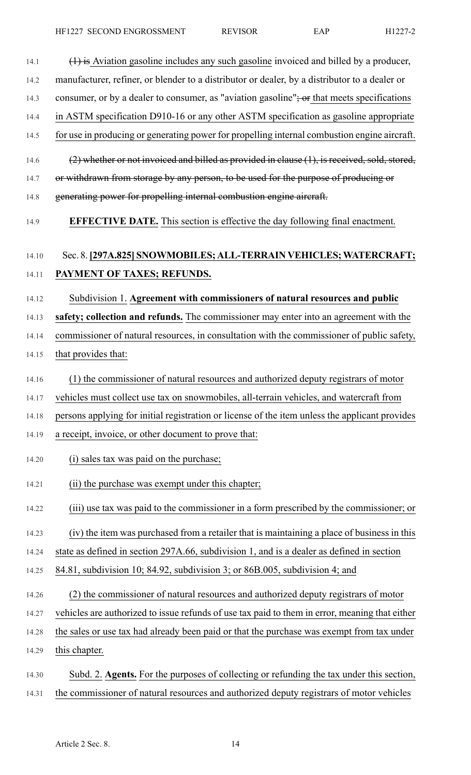| 14.1  | $(1)$ is Aviation gasoline includes any such gasoline invoiced and billed by a producer,       |
|-------|------------------------------------------------------------------------------------------------|
| 14.2  | manufacturer, refiner, or blender to a distributor or dealer, by a distributor to a dealer or  |
| 14.3  | consumer, or by a dealer to consumer, as "aviation gasoline"; or that meets specifications     |
| 14.4  | in ASTM specification D910-16 or any other ASTM specification as gasoline appropriate          |
| 14.5  | for use in producing or generating power for propelling internal combustion engine aircraft.   |
| 14.6  | (2) whether or not invoiced and billed as provided in clause (1), is received, sold, stored,   |
| 14.7  | or withdrawn from storage by any person, to be used for the purpose of producing or            |
| 14.8  | generating power for propelling internal combustion engine aircraft.                           |
| 14.9  | <b>EFFECTIVE DATE.</b> This section is effective the day following final enactment.            |
| 14.10 | Sec. 8. [297A.825] SNOWMOBILES; ALL-TERRAIN VEHICLES; WATERCRAFT;                              |
| 14.11 | PAYMENT OF TAXES; REFUNDS.                                                                     |
| 14.12 | Subdivision 1. Agreement with commissioners of natural resources and public                    |
| 14.13 | safety; collection and refunds. The commissioner may enter into an agreement with the          |
| 14.14 | commissioner of natural resources, in consultation with the commissioner of public safety,     |
| 14.15 | that provides that:                                                                            |
| 14.16 | (1) the commissioner of natural resources and authorized deputy registrars of motor            |
| 14.17 | vehicles must collect use tax on snowmobiles, all-terrain vehicles, and watercraft from        |
| 14.18 | persons applying for initial registration or license of the item unless the applicant provides |
| 14.19 | a receipt, invoice, or other document to prove that:                                           |
| 14.20 | (i) sales tax was paid on the purchase;                                                        |
| 14.21 | (ii) the purchase was exempt under this chapter;                                               |
| 14.22 | (iii) use tax was paid to the commissioner in a form prescribed by the commissioner; or        |
| 14.23 | (iv) the item was purchased from a retailer that is maintaining a place of business in this    |
| 14.24 | state as defined in section 297A.66, subdivision 1, and is a dealer as defined in section      |
| 14.25 | 84.81, subdivision 10; 84.92, subdivision 3; or 86B.005, subdivision 4; and                    |
| 14.26 | (2) the commissioner of natural resources and authorized deputy registrars of motor            |
| 14.27 | vehicles are authorized to issue refunds of use tax paid to them in error, meaning that either |
| 14.28 | the sales or use tax had already been paid or that the purchase was exempt from tax under      |
| 14.29 | this chapter.                                                                                  |
| 14.30 | Subd. 2. Agents. For the purposes of collecting or refunding the tax under this section,       |
| 14.31 | the commissioner of natural resources and authorized deputy registrars of motor vehicles       |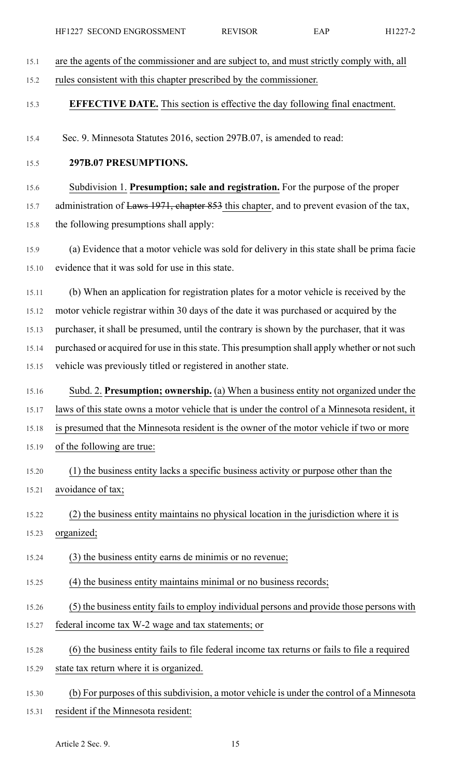| 15.1  | are the agents of the commissioner and are subject to, and must strictly comply with, all     |
|-------|-----------------------------------------------------------------------------------------------|
| 15.2  | rules consistent with this chapter prescribed by the commissioner.                            |
| 15.3  | <b>EFFECTIVE DATE.</b> This section is effective the day following final enactment.           |
| 15.4  | Sec. 9. Minnesota Statutes 2016, section 297B.07, is amended to read:                         |
| 15.5  | 297B.07 PRESUMPTIONS.                                                                         |
| 15.6  | Subdivision 1. Presumption; sale and registration. For the purpose of the proper              |
| 15.7  | administration of Laws 1971, chapter 853 this chapter, and to prevent evasion of the tax,     |
| 15.8  | the following presumptions shall apply:                                                       |
| 15.9  | (a) Evidence that a motor vehicle was sold for delivery in this state shall be prima facie    |
| 15.10 | evidence that it was sold for use in this state.                                              |
| 15.11 | (b) When an application for registration plates for a motor vehicle is received by the        |
| 15.12 | motor vehicle registrar within 30 days of the date it was purchased or acquired by the        |
| 15.13 | purchaser, it shall be presumed, until the contrary is shown by the purchaser, that it was    |
| 15.14 | purchased or acquired for use in this state. This presumption shall apply whether or not such |
| 15.15 | vehicle was previously titled or registered in another state.                                 |
| 15.16 | Subd. 2. Presumption; ownership. (a) When a business entity not organized under the           |
| 15.17 | laws of this state owns a motor vehicle that is under the control of a Minnesota resident, it |
| 15.18 | is presumed that the Minnesota resident is the owner of the motor vehicle if two or more      |
| 15.19 | of the following are true:                                                                    |
| 15.20 |                                                                                               |
|       | (1) the business entity lacks a specific business activity or purpose other than the          |
| 15.21 | avoidance of tax;                                                                             |
| 15.22 | (2) the business entity maintains no physical location in the jurisdiction where it is        |
| 15.23 | organized;                                                                                    |
| 15.24 | (3) the business entity earns de minimis or no revenue;                                       |
| 15.25 | (4) the business entity maintains minimal or no business records;                             |
| 15.26 | (5) the business entity fails to employ individual persons and provide those persons with     |
| 15.27 | federal income tax W-2 wage and tax statements; or                                            |
| 15.28 | (6) the business entity fails to file federal income tax returns or fails to file a required  |
| 15.29 | state tax return where it is organized.                                                       |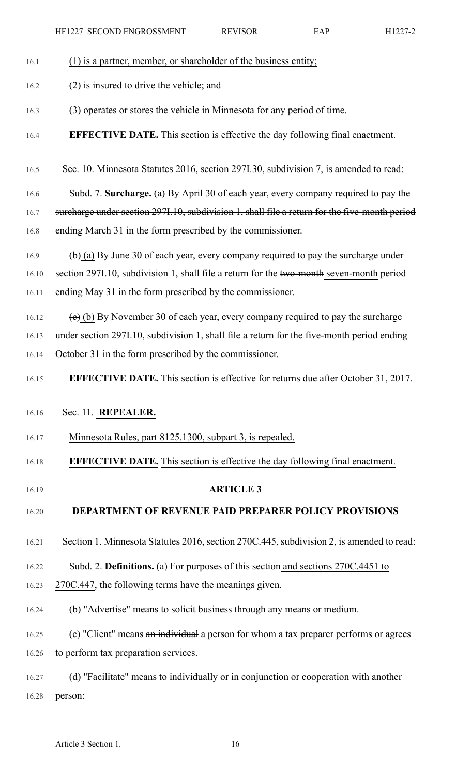### 16.1 (1) is a partner, member, or shareholder of the business entity;

#### 16.2 (2) is insured to drive the vehicle; and

- 16.3 (3) operates or stores the vehicle in Minnesota for any period of time.
- 16.4 **EFFECTIVE DATE.** This section is effective the day following final enactment.
- 16.5 Sec. 10. Minnesota Statutes 2016, section 297I.30, subdivision 7, is amended to read:
- 16.6 Subd. 7. **Surcharge.** (a) By April 30 of each year, every company required to pay the
- 16.7 surcharge under section 297I.10, subdivision 1, shall file a return for the five-month period
- 16.8 ending March 31 in the form prescribed by the commissioner.
- 16.9  $\left(\frac{b}{c}\right)$  (a) By June 30 of each year, every company required to pay the surcharge under 16.10 section 297I.10, subdivision 1, shall file a return for the two-month seven-month period 16.11 ending May 31 in the form prescribed by the commissioner.
- 16.12 (e) (b) By November 30 of each year, every company required to pay the surcharge

16.13 under section 297I.10, subdivision 1, shall file a return for the five-month period ending 16.14 October 31 in the form prescribed by the commissioner.

16.15 **EFFECTIVE DATE.** This section is effective for returns due after October 31, 2017.

### 16.16 Sec. 11. **REPEALER.**

- 16.17 Minnesota Rules, part 8125.1300, subpart 3, is repealed.
- 16.18 **EFFECTIVE DATE.** This section is effective the day following final enactment.
- 

### 16.19 **ARTICLE 3**

### 16.20 **DEPARTMENT OF REVENUE PAID PREPARER POLICY PROVISIONS**

- 16.21 Section 1. Minnesota Statutes 2016, section 270C.445, subdivision 2, is amended to read:
- 16.22 Subd. 2. **Definitions.** (a) For purposes of this section and sections 270C.4451 to
- 16.23 270C.447, the following terms have the meanings given.
- 16.24 (b) "Advertise" means to solicit business through any means or medium.
- 16.25 (c) "Client" means an individual a person for whom a tax preparer performs or agrees 16.26 to perform tax preparation services.
- 16.27 (d) "Facilitate" means to individually or in conjunction or cooperation with another 16.28 person: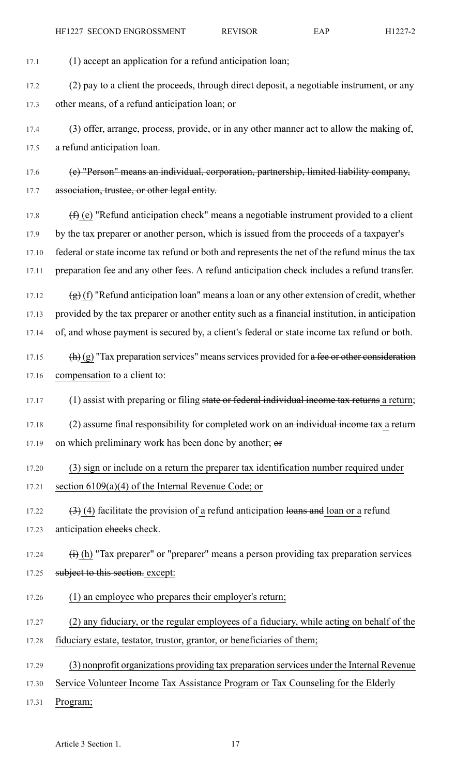17.1 (1) accept an application for a refund anticipation loan;

17.2 (2) pay to a client the proceeds, through direct deposit, a negotiable instrument, or any 17.3 other means, of a refund anticipation loan; or

17.4 (3) offer, arrange, process, provide, or in any other manner act to allow the making of, 17.5 a refund anticipation loan.

17.6 (e) "Person" means an individual, corporation, partnership, limited liability company, 17.7 association, trustee, or other legal entity.

17.8  $(f)$  (e) "Refund anticipation check" means a negotiable instrument provided to a client 17.9 by the tax preparer or another person, which is issued from the proceeds of a taxpayer's 17.10 federal or state income tax refund or both and represents the net of the refund minus the tax 17.11 preparation fee and any other fees. A refund anticipation check includes a refund transfer.

17.12  $(g)$  (f) "Refund anticipation loan" means a loan or any other extension of credit, whether 17.13 provided by the tax preparer or another entity such as a financial institution, in anticipation 17.14 of, and whose payment is secured by, a client's federal or state income tax refund or both.

17.15  $(h)(g)$  "Tax preparation services" means services provided for a fee or other consideration 17.16 compensation to a client to:

17.17 (1) assist with preparing or filing state or federal individual income tax returns a return;

17.18 (2) assume final responsibility for completed work on an individual income tax a return 17.19 on which preliminary work has been done by another; or

- 17.20 (3) sign or include on a return the preparer tax identification number required under 17.21 section 6109(a)(4) of the Internal Revenue Code; or
- 17.22  $(3)$  (4) facilitate the provision of a refund anticipation loans and loan or a refund 17.23 anticipation checks check.
- 17.24  $\qquad (i)$  (h) "Tax preparer" or "preparer" means a person providing tax preparation services 17.25 subject to this section. except:
- 17.26 (1) an employee who prepares their employer's return;
- 17.27 (2) any fiduciary, or the regular employees of a fiduciary, while acting on behalf of the

17.28 fiduciary estate, testator, trustor, grantor, or beneficiaries of them;

- 17.29 (3) nonprofit organizations providing tax preparation services under the Internal Revenue
- 17.30 Service Volunteer Income Tax Assistance Program or Tax Counseling for the Elderly
- 17.31 Program;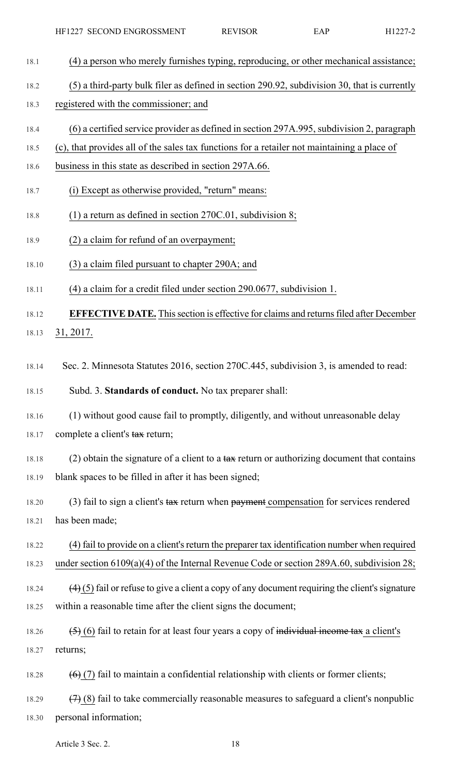| HF1227 SECOND ENGROSSMENT | <b>REVISOR</b> | EAP | H <sub>1227-2</sub> |
|---------------------------|----------------|-----|---------------------|
|---------------------------|----------------|-----|---------------------|

- 18.1 (4) a person who merely furnishes typing, reproducing, or other mechanical assistance;
- 18.2 (5) a third-party bulk filer as defined in section 290.92, subdivision 30, that is currently
- 18.3 registered with the commissioner; and
- 18.4 (6) a certified service provider as defined in section 297A.995, subdivision 2, paragraph
- 18.5 (c), that provides all of the sales tax functions for a retailer not maintaining a place of
- 18.6 business in this state as described in section 297A.66.
- 18.7 (i) Except as otherwise provided, "return" means:
- 18.8 (1) a return as defined in section 270C.01, subdivision 8;
- 18.9 (2) a claim for refund of an overpayment;
- 18.10 (3) a claim filed pursuant to chapter 290A; and
- 18.11 (4) a claim for a credit filed under section 290.0677, subdivision 1.

18.12 **EFFECTIVE DATE.** This section is effective for claims and returns filed after December 18.13 31, 2017.

18.14 Sec. 2. Minnesota Statutes 2016, section 270C.445, subdivision 3, is amended to read:

18.15 Subd. 3. **Standards of conduct.** No tax preparer shall:

18.16 (1) without good cause fail to promptly, diligently, and without unreasonable delay 18.17 complete a client's tax return;

18.18 (2) obtain the signature of a client to a  $\frac{1}{4}$  return or authorizing document that contains 18.19 blank spaces to be filled in after it has been signed;

18.20 (3) fail to sign a client's tax return when payment compensation for services rendered 18.21 has been made;

18.22 (4) fail to provide on a client's return the preparer tax identification number when required 18.23 under section 6109(a)(4) of the Internal Revenue Code or section 289A.60, subdivision 28;

- 18.24  $(4)$  (5) fail or refuse to give a client a copy of any document requiring the client's signature 18.25 within a reasonable time after the client signs the document;
- 18.26  $(5)$  (6) fail to retain for at least four years a copy of individual income tax a client's 18.27 returns;

18.28  $(6)$  (7) fail to maintain a confidential relationship with clients or former clients;

18.29  $(7)$  (8) fail to take commercially reasonable measures to safeguard a client's nonpublic 18.30 personal information;

Article 3 Sec. 2. 18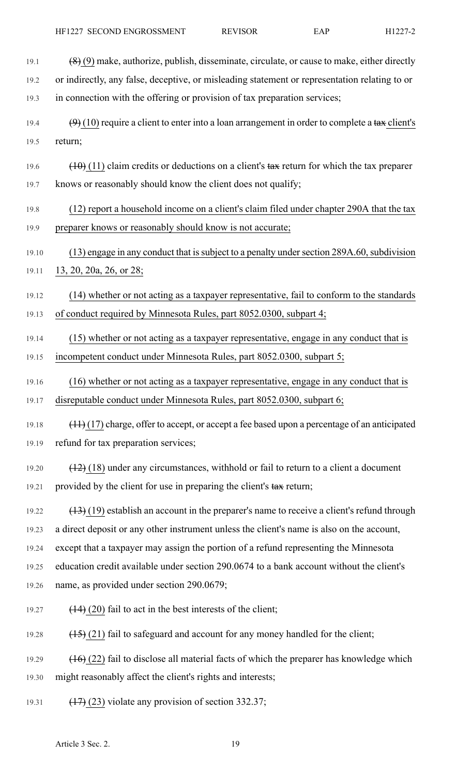- 19.1  $(8)(9)$  make, authorize, publish, disseminate, circulate, or cause to make, either directly 19.2 or indirectly, any false, deceptive, or misleading statement or representation relating to or 19.3 in connection with the offering or provision of tax preparation services; 19.4  $(9)$  (10) require a client to enter into a loan arrangement in order to complete a tax client's 19.5 return; 19.6  $(10)(11)$  claim credits or deductions on a client's tax return for which the tax preparer 19.7 knows or reasonably should know the client does not qualify; 19.8 (12) report a household income on a client's claim filed under chapter 290A that the tax 19.9 preparer knows or reasonably should know is not accurate; 19.10 (13) engage in any conduct that is subject to a penalty under section 289A.60, subdivision 19.11 13, 20, 20a, 26, or 28; 19.12 (14) whether or not acting as a taxpayer representative, fail to conform to the standards 19.13 of conduct required by Minnesota Rules, part 8052.0300, subpart 4; 19.14 (15) whether or not acting as a taxpayer representative, engage in any conduct that is 19.15 incompetent conduct under Minnesota Rules, part 8052.0300, subpart 5; 19.16 (16) whether or not acting as a taxpayer representative, engage in any conduct that is 19.17 disreputable conduct under Minnesota Rules, part 8052.0300, subpart 6; 19.18  $(11)$  (17) charge, offer to accept, or accept a fee based upon a percentage of an anticipated 19.19 refund for tax preparation services; 19.20  $(12)$  (18) under any circumstances, withhold or fail to return to a client a document 19.21 provided by the client for use in preparing the client's tax return;  $19.22$  (13) (19) establish an account in the preparer's name to receive a client's refund through 19.23 a direct deposit or any other instrument unless the client's name is also on the account, 19.24 except that a taxpayer may assign the portion of a refund representing the Minnesota 19.25 education credit available under section 290.0674 to a bank account without the client's 19.26 name, as provided under section 290.0679; 19.27  $(14)$  (20) fail to act in the best interests of the client; 19.28 (15) (21) fail to safeguard and account for any money handled for the client; 19.29  $(16)(22)$  fail to disclose all material facts of which the preparer has knowledge which 19.30 might reasonably affect the client's rights and interests;
- 19.31  $(17)$  (23) violate any provision of section 332.37;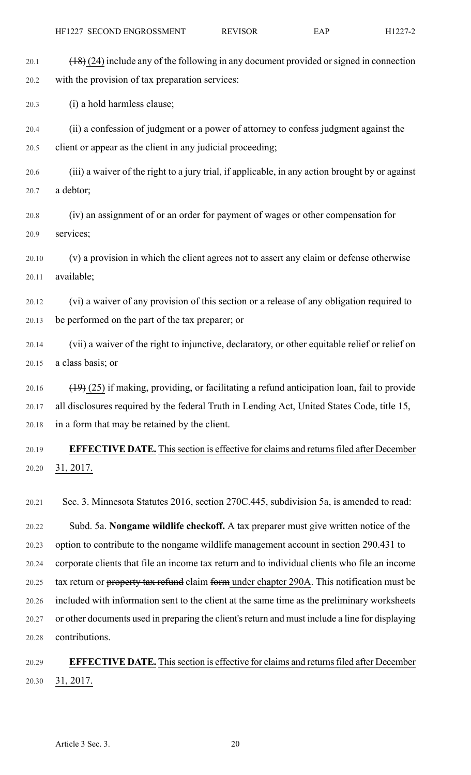20.1  $(18)(24)$  include any of the following in any document provided or signed in connection 20.2 with the provision of tax preparation services:

20.3 (i) a hold harmless clause;

20.4 (ii) a confession of judgment or a power of attorney to confess judgment against the 20.5 client or appear as the client in any judicial proceeding;

20.6 (iii) a waiver of the right to a jury trial, if applicable, in any action brought by or against 20.7 a debtor;

20.8 (iv) an assignment of or an order for payment of wages or other compensation for 20.9 services;

20.10 (v) a provision in which the client agrees not to assert any claim or defense otherwise 20.11 available;

20.12 (vi) a waiver of any provision of this section or a release of any obligation required to 20.13 be performed on the part of the tax preparer; or

20.14 (vii) a waiver of the right to injunctive, declaratory, or other equitable relief or relief on 20.15 a class basis; or

20.16  $(19)(25)$  if making, providing, or facilitating a refund anticipation loan, fail to provide 20.17 all disclosures required by the federal Truth in Lending Act, United States Code, title 15, 20.18 in a form that may be retained by the client.

20.19 **EFFECTIVE DATE.** Thissection is effective for claims and returnsfiled after December 20.20 31, 2017.

20.21 Sec. 3. Minnesota Statutes 2016, section 270C.445, subdivision 5a, is amended to read:

20.22 Subd. 5a. **Nongame wildlife checkoff.** A tax preparer must give written notice of the 20.23 option to contribute to the nongame wildlife management account in section 290.431 to 20.24 corporate clients that file an income tax return and to individual clients who file an income 20.25 tax return or property tax refund claim form under chapter 290A. This notification must be 20.26 included with information sent to the client at the same time as the preliminary worksheets 20.27 or other documents used in preparing the client'sreturn and must include a line for displaying 20.28 contributions.

20.29 **EFFECTIVE DATE.** Thissection is effective for claims and returnsfiled after December 20.30 31, 2017.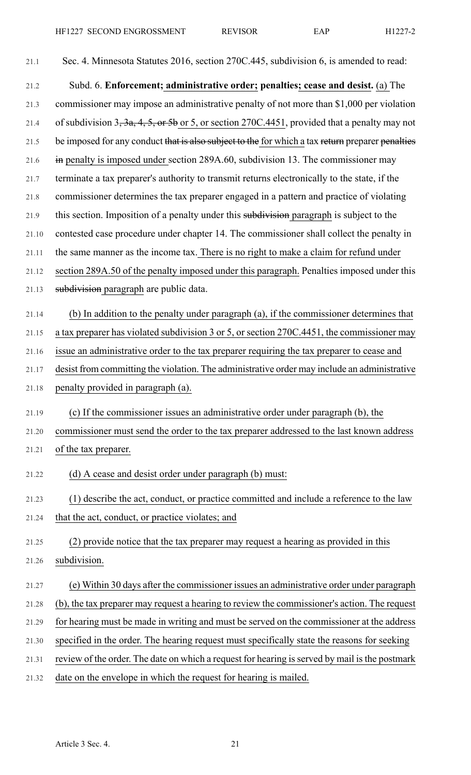| 21.1  | Sec. 4. Minnesota Statutes 2016, section 270C.445, subdivision 6, is amended to read:             |
|-------|---------------------------------------------------------------------------------------------------|
| 21.2  | Subd. 6. Enforcement; administrative order; penalties; cease and desist. (a) The                  |
| 21.3  | commissioner may impose an administrative penalty of not more than \$1,000 per violation          |
| 21.4  | of subdivision $3, 3a, 4, 5,$ or $5b$ or 5, or section 270C.4451, provided that a penalty may not |
| 21.5  | be imposed for any conduct that is also subject to the for which a tax return preparer penalties  |
| 21.6  | in penalty is imposed under section 289A.60, subdivision 13. The commissioner may                 |
| 21.7  | terminate a tax preparer's authority to transmit returns electronically to the state, if the      |
| 21.8  | commissioner determines the tax preparer engaged in a pattern and practice of violating           |
| 21.9  | this section. Imposition of a penalty under this subdivision paragraph is subject to the          |
| 21.10 | contested case procedure under chapter 14. The commissioner shall collect the penalty in          |
| 21.11 | the same manner as the income tax. There is no right to make a claim for refund under             |
| 21.12 | section 289A.50 of the penalty imposed under this paragraph. Penalties imposed under this         |
| 21.13 | subdivision paragraph are public data.                                                            |
| 21.14 | (b) In addition to the penalty under paragraph (a), if the commissioner determines that           |
| 21.15 | a tax preparer has violated subdivision 3 or 5, or section 270C.4451, the commissioner may        |
| 21.16 | issue an administrative order to the tax preparer requiring the tax preparer to cease and         |
| 21.17 | desist from committing the violation. The administrative order may include an administrative      |
| 21.18 | penalty provided in paragraph (a).                                                                |
| 21.19 | (c) If the commissioner issues an administrative order under paragraph (b), the                   |
| 21.20 | commissioner must send the order to the tax preparer addressed to the last known address          |
| 21.21 | of the tax preparer.                                                                              |
| 21.22 | (d) A cease and desist order under paragraph (b) must:                                            |
| 21.23 | (1) describe the act, conduct, or practice committed and include a reference to the law           |
| 21.24 | that the act, conduct, or practice violates; and                                                  |
| 21.25 | (2) provide notice that the tax preparer may request a hearing as provided in this                |
| 21.26 | subdivision.                                                                                      |
| 21.27 | (e) Within 30 days after the commissioner issues an administrative order under paragraph          |
| 21.28 | (b), the tax preparer may request a hearing to review the commissioner's action. The request      |
| 21.29 | for hearing must be made in writing and must be served on the commissioner at the address         |
| 21.30 | specified in the order. The hearing request must specifically state the reasons for seeking       |
| 21.31 | review of the order. The date on which a request for hearing is served by mail is the postmark    |
| 21.32 | date on the envelope in which the request for hearing is mailed.                                  |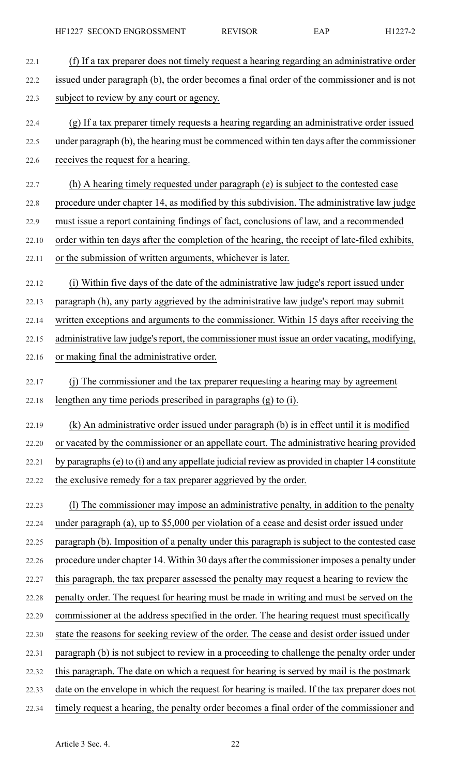22.1 (f) If a tax preparer does not timely request a hearing regarding an administrative order 22.2 issued under paragraph (b), the order becomes a final order of the commissioner and is not 22.3 subject to review by any court or agency. 22.4 (g) If a tax preparer timely requests a hearing regarding an administrative order issued 22.5 under paragraph (b), the hearing must be commenced within ten days after the commissioner 22.6 receives the request for a hearing. 22.7 (h) A hearing timely requested under paragraph (e) is subject to the contested case 22.8 procedure under chapter 14, as modified by this subdivision. The administrative law judge 22.9 must issue a report containing findings of fact, conclusions of law, and a recommended 22.10 order within ten days after the completion of the hearing, the receipt of late-filed exhibits, 22.11 or the submission of written arguments, whichever is later. 22.12 (i) Within five days of the date of the administrative law judge's report issued under 22.13 paragraph (h), any party aggrieved by the administrative law judge's report may submit 22.14 written exceptions and arguments to the commissioner. Within 15 days after receiving the 22.15 administrative law judge's report, the commissioner must issue an order vacating, modifying, 22.16 or making final the administrative order. 22.17 (j) The commissioner and the tax preparer requesting a hearing may by agreement 22.18 lengthen any time periods prescribed in paragraphs (g) to (i). 22.19 (k) An administrative order issued under paragraph (b) is in effect until it is modified 22.20 or vacated by the commissioner or an appellate court. The administrative hearing provided 22.21 by paragraphs(e) to (i) and any appellate judicial review as provided in chapter 14 constitute 22.22 the exclusive remedy for a tax preparer aggrieved by the order. 22.23 (l) The commissioner may impose an administrative penalty, in addition to the penalty 22.24 under paragraph (a), up to \$5,000 per violation of a cease and desist order issued under 22.25 paragraph (b). Imposition of a penalty under this paragraph is subject to the contested case 22.26 procedure under chapter 14. Within 30 days after the commissioner imposes a penalty under 22.27 this paragraph, the tax preparer assessed the penalty may request a hearing to review the 22.28 penalty order. The request for hearing must be made in writing and must be served on the 22.29 commissioner at the address specified in the order. The hearing request must specifically 22.30 state the reasons for seeking review of the order. The cease and desist order issued under 22.31 paragraph (b) is not subject to review in a proceeding to challenge the penalty order under 22.32 this paragraph. The date on which a request for hearing is served by mail is the postmark 22.33 date on the envelope in which the request for hearing is mailed. If the tax preparer does not 22.34 timely request a hearing, the penalty order becomes a final order of the commissioner and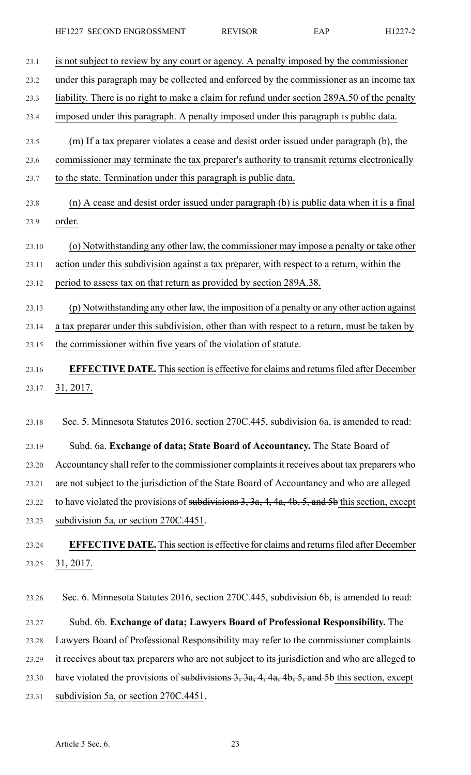23.1 is not subject to review by any court or agency. A penalty imposed by the commissioner

23.2 under this paragraph may be collected and enforced by the commissioner as an income tax

23.3 liability. There is no right to make a claim for refund under section 289A.50 of the penalty

23.4 imposed under this paragraph. A penalty imposed under this paragraph is public data.

- 23.5 (m) If a tax preparer violates a cease and desist order issued under paragraph (b), the
- 23.6 commissioner may terminate the tax preparer's authority to transmit returns electronically
- 23.7 to the state. Termination under this paragraph is public data.
- 23.8 (n) A cease and desist order issued under paragraph (b) is public data when it is a final 23.9 order.
- 23.10 (o) Notwithstanding any other law, the commissioner may impose a penalty or take other
- 23.11 action under this subdivision against a tax preparer, with respect to a return, within the

23.12 period to assess tax on that return as provided by section 289A.38.

23.13 (p) Notwithstanding any other law, the imposition of a penalty or any other action against

23.14 a tax preparer under this subdivision, other than with respect to a return, must be taken by

- 23.15 the commissioner within five years of the violation of statute.
- 23.16 **EFFECTIVE DATE.** Thissection is effective for claims and returnsfiled after December 23.17 31, 2017.

23.18 Sec. 5. Minnesota Statutes 2016, section 270C.445, subdivision 6a, is amended to read:

23.19 Subd. 6a. **Exchange of data; State Board of Accountancy.** The State Board of 23.20 Accountancy shall refer to the commissioner complaints it receives about tax preparers who 23.21 are not subject to the jurisdiction of the State Board of Accountancy and who are alleged 23.22 to have violated the provisions of subdivisions 3, 3a, 4, 4a, 4b, 5, and 5b this section, except 23.23 subdivision 5a, or section 270C.4451.

23.24 **EFFECTIVE DATE.** Thissection is effective for claims and returnsfiled after December 23.25 31, 2017.

23.26 Sec. 6. Minnesota Statutes 2016, section 270C.445, subdivision 6b, is amended to read:

23.27 Subd. 6b. **Exchange of data; Lawyers Board of Professional Responsibility.** The 23.28 Lawyers Board of Professional Responsibility may refer to the commissioner complaints 23.29 it receives about tax preparers who are not subject to its jurisdiction and who are alleged to 23.30 have violated the provisions of subdivisions  $3, 3a, 4, 4a, 4b, 5$ , and 5b this section, except 23.31 subdivision 5a, or section 270C.4451.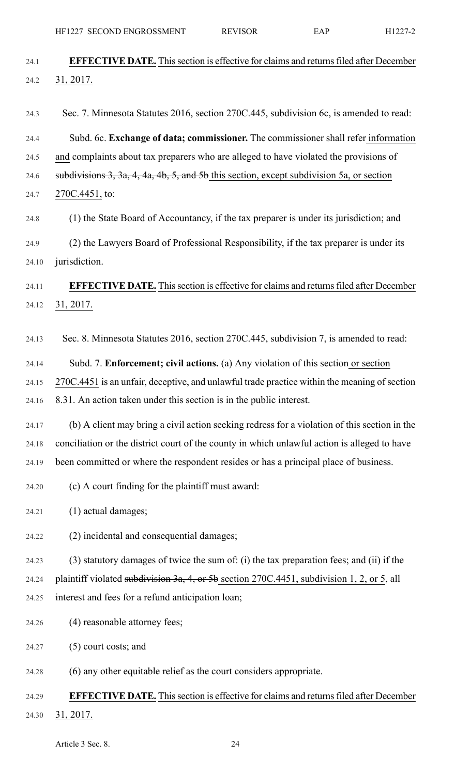HF1227 SECOND ENGROSSMENT REVISOR EAP H1227-2

| <b>EFFECTIVE DATE.</b> This section is effective for claims and returns filed after December  |
|-----------------------------------------------------------------------------------------------|
| 31, 2017.                                                                                     |
|                                                                                               |
| Sec. 7. Minnesota Statutes 2016, section 270C.445, subdivision 6c, is amended to read:        |
| Subd. 6c. Exchange of data; commissioner. The commissioner shall refer information            |
| and complaints about tax preparers who are alleged to have violated the provisions of         |
| subdivisions $3, 3a, 4, 4a, 4b, 5,$ and $5b$ this section, except subdivision 5a, or section  |
| 270C.4451, to:                                                                                |
| (1) the State Board of Accountancy, if the tax preparer is under its jurisdiction; and        |
| (2) the Lawyers Board of Professional Responsibility, if the tax preparer is under its        |
| jurisdiction.                                                                                 |
| <b>EFFECTIVE DATE.</b> This section is effective for claims and returns filed after December  |
| 31, 2017.                                                                                     |
|                                                                                               |
| Sec. 8. Minnesota Statutes 2016, section 270C.445, subdivision 7, is amended to read:         |
| Subd. 7. <b>Enforcement; civil actions.</b> (a) Any violation of this section or section      |
| 270C.4451 is an unfair, deceptive, and unlawful trade practice within the meaning of section  |
| 8.31. An action taken under this section is in the public interest.                           |
| (b) A client may bring a civil action seeking redress for a violation of this section in the  |
| conciliation or the district court of the county in which unlawful action is alleged to have  |
| been committed or where the respondent resides or has a principal place of business.          |
| (c) A court finding for the plaintiff must award:                                             |
| (1) actual damages;                                                                           |
| (2) incidental and consequential damages;                                                     |
| (3) statutory damages of twice the sum of: (i) the tax preparation fees; and (ii) if the      |
| plaintiff violated subdivision 3a, 4, or 5b section $270C.4451$ , subdivision 1, 2, or 5, all |
| interest and fees for a refund anticipation loan;                                             |
| (4) reasonable attorney fees;                                                                 |
|                                                                                               |
| $(5)$ court costs; and                                                                        |
| (6) any other equitable relief as the court considers appropriate.                            |
| <b>EFFECTIVE DATE.</b> This section is effective for claims and returns filed after December  |
| 31, 2017.                                                                                     |
| Article 3 Sec. 8.<br>24                                                                       |
|                                                                                               |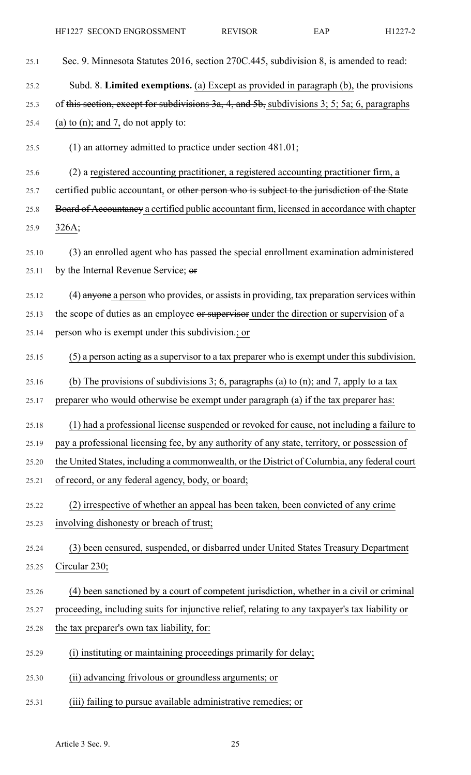| 25.1  | Sec. 9. Minnesota Statutes 2016, section 270C.445, subdivision 8, is amended to read:                             |
|-------|-------------------------------------------------------------------------------------------------------------------|
| 25.2  | Subd. 8. Limited exemptions. (a) Except as provided in paragraph (b), the provisions                              |
| 25.3  | of this section, except for subdivisions $3a$ , $4$ , and $5b$ , subdivisions $3$ ; $5$ ; $5a$ ; $6$ , paragraphs |
| 25.4  | (a) to (n); and 7, do not apply to:                                                                               |
| 25.5  | $(1)$ an attorney admitted to practice under section 481.01;                                                      |
| 25.6  | (2) a registered accounting practitioner, a registered accounting practitioner firm, a                            |
| 25.7  | certified public accountant, or other person who is subject to the jurisdiction of the State                      |
| 25.8  | Board of Accountancy a certified public accountant firm, licensed in accordance with chapter                      |
| 25.9  | 326A;                                                                                                             |
| 25.10 | (3) an enrolled agent who has passed the special enrollment examination administered                              |
| 25.11 | by the Internal Revenue Service; or                                                                               |
| 25.12 | (4) anyone a person who provides, or assists in providing, tax preparation services within                        |
| 25.13 | the scope of duties as an employee or supervisor under the direction or supervision of a                          |
| 25.14 | person who is exempt under this subdivision-; or                                                                  |
| 25.15 | (5) a person acting as a supervisor to a tax preparer who is exempt under this subdivision.                       |
| 25.16 | (b) The provisions of subdivisions 3; 6, paragraphs (a) to (n); and 7, apply to a tax                             |
| 25.17 | preparer who would otherwise be exempt under paragraph (a) if the tax preparer has:                               |
| 25.18 | (1) had a professional license suspended or revoked for cause, not including a failure to                         |
| 25.19 | pay a professional licensing fee, by any authority of any state, territory, or possession of                      |
| 25.20 | the United States, including a commonwealth, or the District of Columbia, any federal court                       |
| 25.21 | of record, or any federal agency, body, or board;                                                                 |
| 25.22 | (2) irrespective of whether an appeal has been taken, been convicted of any crime                                 |
| 25.23 | involving dishonesty or breach of trust;                                                                          |
| 25.24 | (3) been censured, suspended, or disbarred under United States Treasury Department                                |
| 25.25 | Circular 230;                                                                                                     |
| 25.26 | (4) been sanctioned by a court of competent jurisdiction, whether in a civil or criminal                          |
| 25.27 | proceeding, including suits for injunctive relief, relating to any taxpayer's tax liability or                    |
| 25.28 | the tax preparer's own tax liability, for:                                                                        |
| 25.29 | (i) instituting or maintaining proceedings primarily for delay;                                                   |
| 25.30 | (ii) advancing frivolous or groundless arguments; or                                                              |
| 25.31 | (iii) failing to pursue available administrative remedies; or                                                     |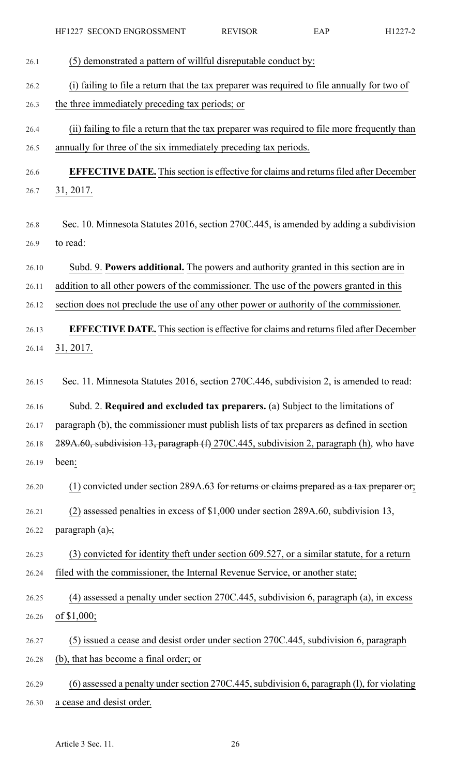| 26.1  | (5) demonstrated a pattern of willful disreputable conduct by:                                |
|-------|-----------------------------------------------------------------------------------------------|
| 26.2  | (i) failing to file a return that the tax preparer was required to file annually for two of   |
| 26.3  | the three immediately preceding tax periods; or                                               |
| 26.4  | (ii) failing to file a return that the tax preparer was required to file more frequently than |
| 26.5  | annually for three of the six immediately preceding tax periods.                              |
| 26.6  | <b>EFFECTIVE DATE.</b> This section is effective for claims and returns filed after December  |
| 26.7  | 31, 2017.                                                                                     |
|       |                                                                                               |
| 26.8  | Sec. 10. Minnesota Statutes 2016, section 270C.445, is amended by adding a subdivision        |
| 26.9  | to read:                                                                                      |
| 26.10 | Subd. 9. Powers additional. The powers and authority granted in this section are in           |
| 26.11 | addition to all other powers of the commissioner. The use of the powers granted in this       |
| 26.12 | section does not preclude the use of any other power or authority of the commissioner.        |
| 26.13 | <b>EFFECTIVE DATE.</b> This section is effective for claims and returns filed after December  |
| 26.14 | 31, 2017.                                                                                     |
|       |                                                                                               |
| 26.15 | Sec. 11. Minnesota Statutes 2016, section 270C.446, subdivision 2, is amended to read:        |
| 26.16 | Subd. 2. Required and excluded tax preparers. (a) Subject to the limitations of               |
| 26.17 | paragraph (b), the commissioner must publish lists of tax preparers as defined in section     |
| 26.18 | 289A.60, subdivision 13, paragraph (f) 270C.445, subdivision 2, paragraph (h), who have       |
| 26.19 | been:                                                                                         |
| 26.20 | $(1)$ convicted under section 289A.63 for returns or claims prepared as a tax preparer or;    |
| 26.21 | (2) assessed penalties in excess of \$1,000 under section 289A.60, subdivision 13,            |
| 26.22 | paragraph $(a)$ .;                                                                            |
| 26.23 | (3) convicted for identity theft under section 609.527, or a similar statute, for a return    |
| 26.24 | filed with the commissioner, the Internal Revenue Service, or another state;                  |
| 26.25 | $(4)$ assessed a penalty under section 270C.445, subdivision 6, paragraph (a), in excess      |
| 26.26 | of \$1,000;                                                                                   |
| 26.27 | (5) issued a cease and desist order under section 270C.445, subdivision 6, paragraph          |
| 26.28 | (b), that has become a final order; or                                                        |
| 26.29 | (6) assessed a penalty under section 270C.445, subdivision 6, paragraph (1), for violating    |
| 26.30 | a cease and desist order.                                                                     |
|       |                                                                                               |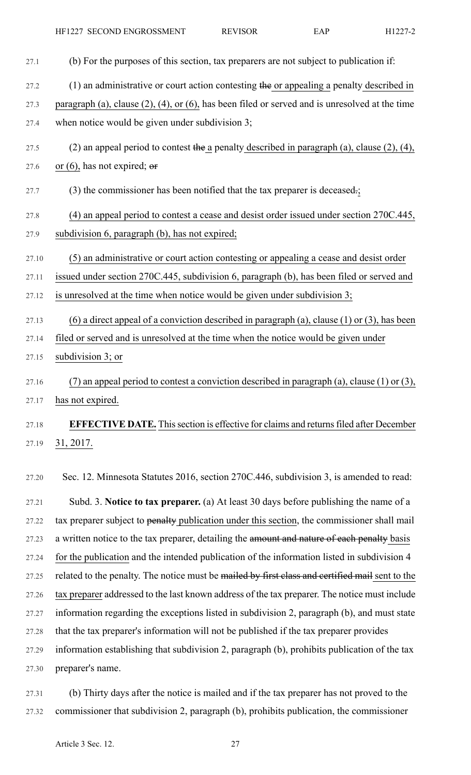HF1227 SECOND ENGROSSMENT REVISOR EAP H1227-2

| 27.1  | (b) For the purposes of this section, tax preparers are not subject to publication if:                  |
|-------|---------------------------------------------------------------------------------------------------------|
| 27.2  | $(1)$ an administrative or court action contesting the or appealing a penalty described in              |
| 27.3  | paragraph (a), clause $(2)$ , $(4)$ , or $(6)$ , has been filed or served and is unresolved at the time |
| 27.4  | when notice would be given under subdivision 3;                                                         |
| 27.5  | (2) an appeal period to contest the a penalty described in paragraph (a), clause $(2)$ , $(4)$ ,        |
| 27.6  | or $(6)$ , has not expired; or                                                                          |
| 27.7  | $(3)$ the commissioner has been notified that the tax preparer is deceased.;                            |
| 27.8  | (4) an appeal period to contest a cease and desist order issued under section 270C.445,                 |
| 27.9  | subdivision 6, paragraph (b), has not expired;                                                          |
| 27.10 | (5) an administrative or court action contesting or appealing a cease and desist order                  |
| 27.11 | issued under section 270C.445, subdivision 6, paragraph (b), has been filed or served and               |
| 27.12 | is unresolved at the time when notice would be given under subdivision 3;                               |
| 27.13 | (6) a direct appeal of a conviction described in paragraph (a), clause $(1)$ or $(3)$ , has been        |
| 27.14 | filed or served and is unresolved at the time when the notice would be given under                      |
| 27.15 | subdivision 3; or                                                                                       |
| 27.16 | (7) an appeal period to contest a conviction described in paragraph (a), clause (1) or (3),             |
| 27.17 | has not expired.                                                                                        |
| 27.18 | <b>EFFECTIVE DATE.</b> This section is effective for claims and returns filed after December            |
| 27.19 | 31, 2017.                                                                                               |
| 27.20 | Sec. 12. Minnesota Statutes 2016, section 270C.446, subdivision 3, is amended to read:                  |
| 27.21 | Subd. 3. Notice to tax preparer. (a) At least 30 days before publishing the name of a                   |
| 27.22 | tax preparer subject to penalty publication under this section, the commissioner shall mail             |
| 27.23 | a written notice to the tax preparer, detailing the amount and nature of each penalty basis             |
| 27.24 | for the publication and the intended publication of the information listed in subdivision 4             |
| 27.25 | related to the penalty. The notice must be mailed by first class and certified mail sent to the         |
| 27.26 | tax preparer addressed to the last known address of the tax preparer. The notice must include           |
| 27.27 | information regarding the exceptions listed in subdivision 2, paragraph (b), and must state             |
| 27.28 | that the tax preparer's information will not be published if the tax preparer provides                  |
| 27.29 | information establishing that subdivision 2, paragraph (b), prohibits publication of the tax            |
| 27.30 | preparer's name.                                                                                        |
| 27.31 | (b) Thirty days after the notice is mailed and if the tax preparer has not proved to the                |

27.32 commissioner that subdivision 2, paragraph (b), prohibits publication, the commissioner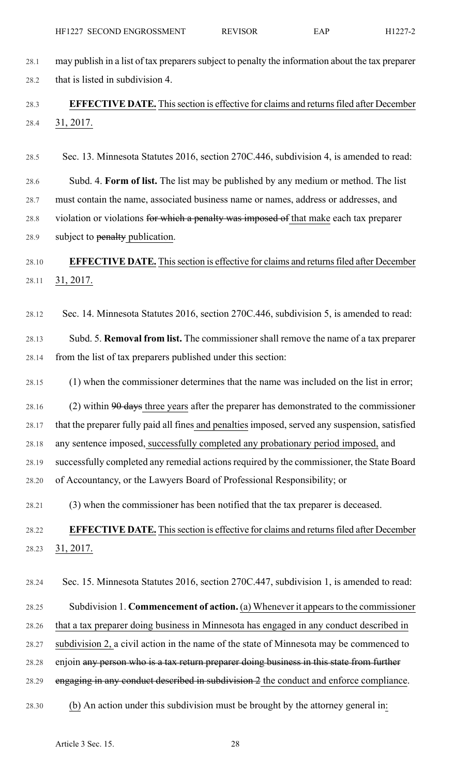28.1 may publish in a list of tax preparers subject to penalty the information about the tax preparer 28.2 that is listed in subdivision 4.

# 28.3 **EFFECTIVE DATE.** Thissection is effective for claims and returnsfiled after December 28.4 31, 2017.

28.5 Sec. 13. Minnesota Statutes 2016, section 270C.446, subdivision 4, is amended to read:

28.6 Subd. 4. **Form of list.** The list may be published by any medium or method. The list 28.7 must contain the name, associated business name or names, address or addresses, and 28.8 violation or violations for which a penalty was imposed of that make each tax preparer 28.9 subject to penalty publication.

# 28.10 **EFFECTIVE DATE.** Thissection is effective for claims and returnsfiled after December 28.11 31, 2017.

28.12 Sec. 14. Minnesota Statutes 2016, section 270C.446, subdivision 5, is amended to read:

28.13 Subd. 5. **Removal from list.** The commissioner shall remove the name of a tax preparer 28.14 from the list of tax preparers published under this section:

28.15 (1) when the commissioner determines that the name was included on the list in error;

28.16 (2) within  $90$  days three years after the preparer has demonstrated to the commissioner 28.17 that the preparer fully paid all fines and penalties imposed, served any suspension, satisfied 28.18 any sentence imposed, successfully completed any probationary period imposed, and 28.19 successfully completed any remedial actions required by the commissioner, the State Board 28.20 of Accountancy, or the Lawyers Board of Professional Responsibility; or

28.21 (3) when the commissioner has been notified that the tax preparer is deceased.

# 28.22 **EFFECTIVE DATE.** Thissection is effective for claims and returnsfiled after December 28.23 31, 2017.

28.24 Sec. 15. Minnesota Statutes 2016, section 270C.447, subdivision 1, is amended to read: 28.25 Subdivision 1. **Commencement of action.** (a) Whenever it appearsto the commissioner 28.26 that a tax preparer doing business in Minnesota has engaged in any conduct described in 28.27 subdivision 2, a civil action in the name of the state of Minnesota may be commenced to 28.28 enjoin any person who is a tax return preparer doing business in this state from further 28.29 engaging in any conduct described in subdivision 2 the conduct and enforce compliance. 28.30 (b) An action under this subdivision must be brought by the attorney general in: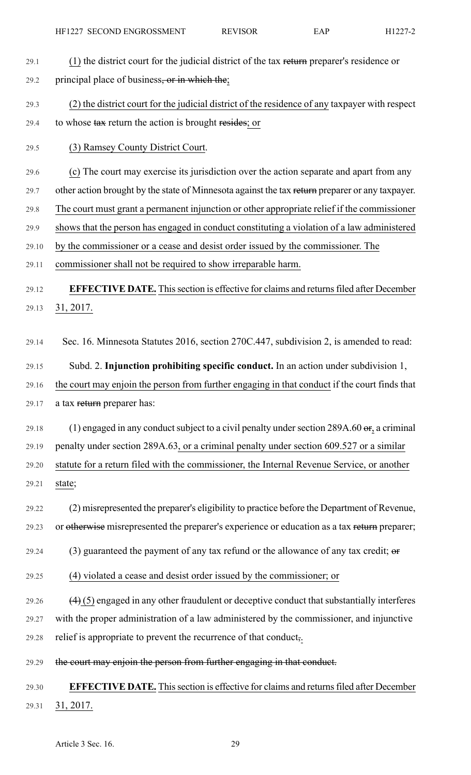# 29.1 (1) the district court for the judicial district of the tax return preparer's residence or 29.2 principal place of business, or in which the;

29.3 (2) the district court for the judicial district of the residence of any taxpayer with respect 29.4 to whose tax return the action is brought resides; or

### 29.5 (3) Ramsey County District Court.

29.6 (c) The court may exercise its jurisdiction over the action separate and apart from any

29.7 other action brought by the state of Minnesota against the tax return preparer or any taxpayer.

29.8 The court must grant a permanent injunction or other appropriate relief if the commissioner

29.9 shows that the person has engaged in conduct constituting a violation of a law administered

29.10 by the commissioner or a cease and desist order issued by the commissioner. The

29.11 commissioner shall not be required to show irreparable harm.

29.12 **EFFECTIVE DATE.** Thissection is effective for claims and returnsfiled after December 29.13 31, 2017.

29.14 Sec. 16. Minnesota Statutes 2016, section 270C.447, subdivision 2, is amended to read:

29.15 Subd. 2. **Injunction prohibiting specific conduct.** In an action under subdivision 1, 29.16 the court may enjoin the person from further engaging in that conduct if the court finds that 29.17 a tax return preparer has:

29.18 (1) engaged in any conduct subject to a civil penalty under section 289A.60  $\sigma$ , a criminal 29.19 penalty under section 289A.63, or a criminal penalty under section 609.527 or a similar 29.20 statute for a return filed with the commissioner, the Internal Revenue Service, or another 29.21 state;

29.22 (2) misrepresented the preparer's eligibility to practice before the Department of Revenue, 29.23 or otherwise misrepresented the preparer's experience or education as a tax return preparer;

29.24 (3) guaranteed the payment of any tax refund or the allowance of any tax credit;  $\theta$ 

29.25 (4) violated a cease and desist order issued by the commissioner; or

29.26  $(4)$  (5) engaged in any other fraudulent or deceptive conduct that substantially interferes 29.27 with the proper administration of a law administered by the commissioner, and injunctive 29.28 relief is appropriate to prevent the recurrence of that conduct,.

29.29 the court may enjoin the person from further engaging in that conduct.

# 29.30 **EFFECTIVE DATE.** Thissection is effective for claims and returnsfiled after December 29.31 31, 2017.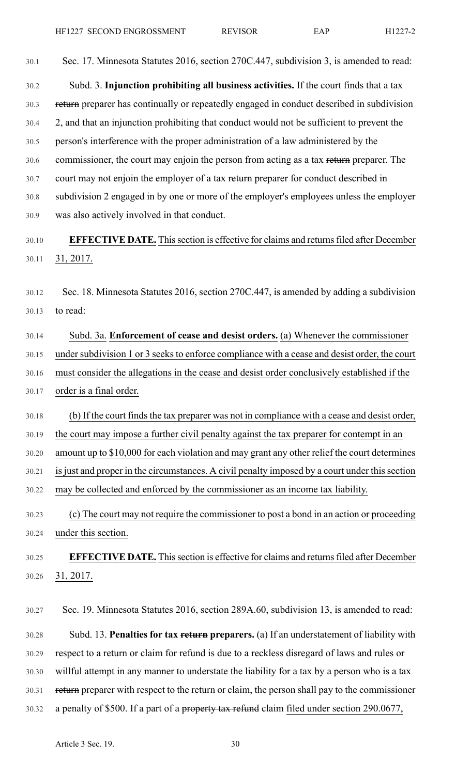30.1 Sec. 17. Minnesota Statutes 2016, section 270C.447, subdivision 3, is amended to read:

30.2 Subd. 3. **Injunction prohibiting all business activities.** If the court finds that a tax 30.3 return preparer has continually or repeatedly engaged in conduct described in subdivision 30.4 2, and that an injunction prohibiting that conduct would not be sufficient to prevent the 30.5 person's interference with the proper administration of a law administered by the 30.6 commissioner, the court may enjoin the person from acting as a tax return preparer. The 30.7 court may not enjoin the employer of a tax return preparer for conduct described in 30.8 subdivision 2 engaged in by one or more of the employer's employees unless the employer 30.9 was also actively involved in that conduct.

# 30.10 **EFFECTIVE DATE.** Thissection is effective for claims and returnsfiled after December 30.11 31, 2017.

30.12 Sec. 18. Minnesota Statutes 2016, section 270C.447, is amended by adding a subdivision 30.13 to read:

30.14 Subd. 3a. **Enforcement of cease and desist orders.** (a) Whenever the commissioner 30.15 under subdivision 1 or 3 seeks to enforce compliance with a cease and desist order, the court 30.16 must consider the allegations in the cease and desist order conclusively established if the 30.17 order is a final order.

30.18 (b) If the court finds the tax preparer was not in compliance with a cease and desist order, 30.19 the court may impose a further civil penalty against the tax preparer for contempt in an 30.20 amount up to \$10,000 for each violation and may grant any other relief the court determines

30.21 is just and proper in the circumstances. A civil penalty imposed by a court under this section

30.22 may be collected and enforced by the commissioner as an income tax liability.

30.23 (c) The court may not require the commissioner to post a bond in an action or proceeding 30.24 under this section.

30.25 **EFFECTIVE DATE.** Thissection is effective for claims and returnsfiled after December 30.26 31, 2017.

30.27 Sec. 19. Minnesota Statutes 2016, section 289A.60, subdivision 13, is amended to read: 30.28 Subd. 13. **Penalties for tax return preparers.** (a) If an understatement of liability with 30.29 respect to a return or claim for refund is due to a reckless disregard of laws and rules or 30.30 willful attempt in any manner to understate the liability for a tax by a person who is a tax 30.31 return preparer with respect to the return or claim, the person shall pay to the commissioner 30.32 a penalty of \$500. If a part of a property tax refund claim filed under section 290.0677,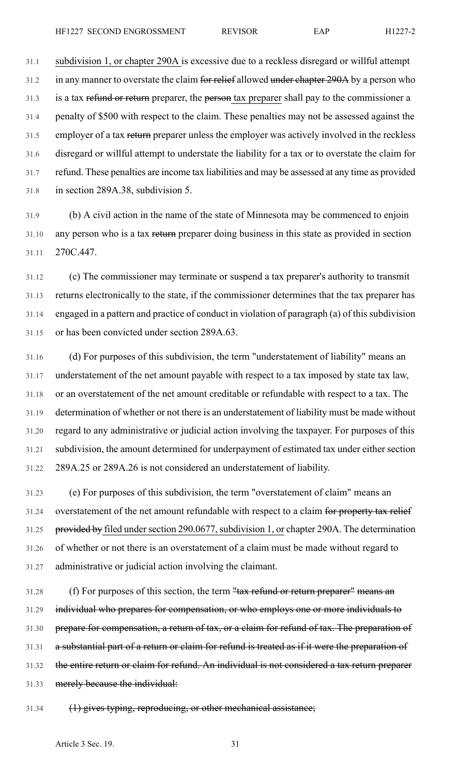31.1 subdivision 1, or chapter 290A is excessive due to a reckless disregard or willful attempt 31.2 in any manner to overstate the claim for relief allowed under chapter 290A by a person who 31.3 is a tax refund or return preparer, the person tax preparer shall pay to the commissioner a 31.4 penalty of \$500 with respect to the claim. These penalties may not be assessed against the 31.5 employer of a tax return preparer unless the employer was actively involved in the reckless 31.6 disregard or willful attempt to understate the liability for a tax or to overstate the claim for 31.7 refund. These penalties are income tax liabilities and may be assessed at any time as provided 31.8 in section 289A.38, subdivision 5.

31.9 (b) A civil action in the name of the state of Minnesota may be commenced to enjoin 31.10 any person who is a tax return preparer doing business in this state as provided in section 31.11 270C.447.

31.12 (c) The commissioner may terminate or suspend a tax preparer's authority to transmit 31.13 returns electronically to the state, if the commissioner determines that the tax preparer has 31.14 engaged in a pattern and practice of conduct in violation of paragraph (a) of this subdivision 31.15 or has been convicted under section 289A.63.

31.16 (d) For purposes of this subdivision, the term "understatement of liability" means an 31.17 understatement of the net amount payable with respect to a tax imposed by state tax law, 31.18 or an overstatement of the net amount creditable or refundable with respect to a tax. The 31.19 determination of whether or not there is an understatement of liability must be made without 31.20 regard to any administrative or judicial action involving the taxpayer. For purposes of this 31.21 subdivision, the amount determined for underpayment of estimated tax under either section 31.22 289A.25 or 289A.26 is not considered an understatement of liability.

31.23 (e) For purposes of this subdivision, the term "overstatement of claim" means an 31.24 overstatement of the net amount refundable with respect to a claim for property tax relief 31.25 provided by filed under section 290.0677, subdivision 1, or chapter 290A. The determination 31.26 of whether or not there is an overstatement of a claim must be made without regard to 31.27 administrative or judicial action involving the claimant.

31.28 (f) For purposes of this section, the term "tax refund or return preparer" means an 31.29 individual who prepares for compensation, or who employs one or more individuals to 31.30 prepare for compensation, a return of tax, or a claim for refund of tax. The preparation of 31.31 a substantial part of a return or claim for refund is treated as if it were the preparation of 31.32 the entire return or claim for refund. An individual is not considered a tax return preparer 31.33 merely because the individual:

31.34 (1) gives typing, reproducing, or other mechanical assistance;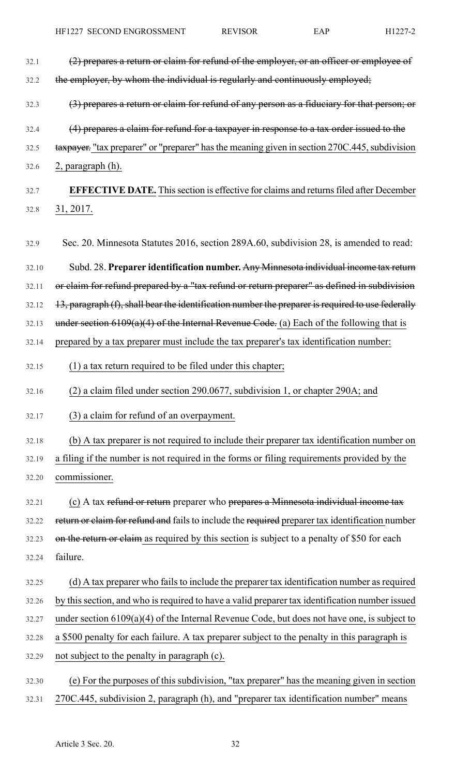32.1 (2) prepares a return or claim for refund of the employer, or an officer or employee of 32.2 the employer, by whom the individual is regularly and continuously employed; 32.3 (3) prepares a return or claim for refund of any person as a fiduciary for that person; or 32.4 (4) prepares a claim for refund for a taxpayer in response to a tax order issued to the 32.5 tax payer. "tax preparer" or "preparer" has the meaning given in section 270C.445, subdivision 32.6 2, paragraph (h). 32.7 **EFFECTIVE DATE.** Thissection is effective for claims and returnsfiled after December 32.8 31, 2017. 32.9 Sec. 20. Minnesota Statutes 2016, section 289A.60, subdivision 28, is amended to read: 32.10 Subd. 28. **Preparer identification number.** Any Minnesota individual income tax return 32.11 or claim for refund prepared by a "tax refund or return preparer" as defined in subdivision  $32.12$  13, paragraph (f), shall bear the identification number the preparer is required to use federally 32.13 under section  $6109(a)(4)$  of the Internal Revenue Code. (a) Each of the following that is 32.14 prepared by a tax preparer must include the tax preparer's tax identification number:  $32.15$  (1) a tax return required to be filed under this chapter; 32.16 (2) a claim filed under section 290.0677, subdivision 1, or chapter 290A; and 32.17 (3) a claim for refund of an overpayment. 32.18 (b) A tax preparer is not required to include their preparer tax identification number on 32.19 a filing if the number is not required in the forms or filing requirements provided by the 32.20 commissioner. 32.21 (c) A tax refund or return preparer who prepares a Minnesota individual income tax 32.22 return or claim for refund and fails to include the required preparer tax identification number 32.23 on the return or claim as required by this section is subject to a penalty of \$50 for each 32.24 failure. 32.25 (d) A tax preparer who fails to include the preparer tax identification number as required 32.26 by this section, and who is required to have a valid preparer tax identification number issued 32.27 under section 6109(a)(4) of the Internal Revenue Code, but does not have one, is subject to 32.28 a \$500 penalty for each failure. A tax preparer subject to the penalty in this paragraph is 32.29 not subject to the penalty in paragraph (c). 32.30 (e) For the purposes of this subdivision, "tax preparer" has the meaning given in section 32.31 270C.445, subdivision 2, paragraph (h), and "preparer tax identification number" means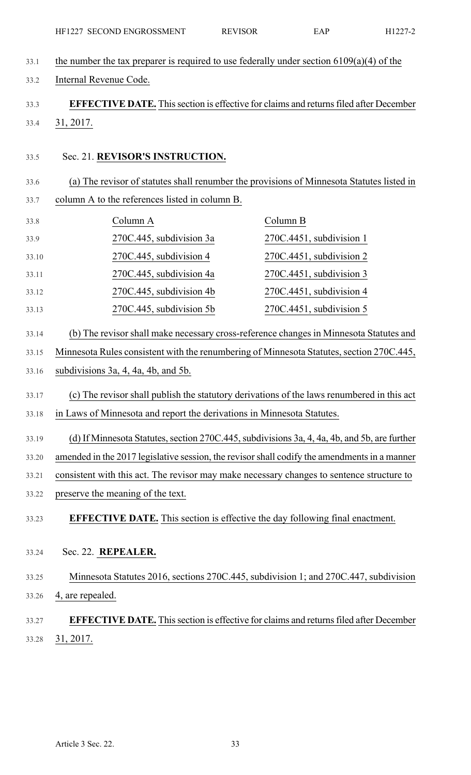| 33.1  | the number the tax preparer is required to use federally under section $6109(a)(4)$ of the   |                                                                                              |  |  |  |
|-------|----------------------------------------------------------------------------------------------|----------------------------------------------------------------------------------------------|--|--|--|
| 33.2  | Internal Revenue Code.                                                                       |                                                                                              |  |  |  |
| 33.3  |                                                                                              | <b>EFFECTIVE DATE.</b> This section is effective for claims and returns filed after December |  |  |  |
| 33.4  | 31, 2017.                                                                                    |                                                                                              |  |  |  |
|       |                                                                                              |                                                                                              |  |  |  |
| 33.5  | Sec. 21. REVISOR'S INSTRUCTION.                                                              |                                                                                              |  |  |  |
| 33.6  |                                                                                              | (a) The revisor of statutes shall renumber the provisions of Minnesota Statutes listed in    |  |  |  |
| 33.7  | column A to the references listed in column B.                                               |                                                                                              |  |  |  |
| 33.8  | Column A                                                                                     | Column B                                                                                     |  |  |  |
| 33.9  | 270C.445, subdivision 3a                                                                     | 270C.4451, subdivision 1                                                                     |  |  |  |
| 33.10 | 270C.445, subdivision 4                                                                      | 270C.4451, subdivision 2                                                                     |  |  |  |
| 33.11 | 270C.445, subdivision 4a                                                                     | $270C.4451$ , subdivision 3                                                                  |  |  |  |
| 33.12 | 270C.445, subdivision 4b                                                                     | 270C.4451, subdivision 4                                                                     |  |  |  |
| 33.13 | 270C.445, subdivision 5b                                                                     | $270C.4451$ , subdivision 5                                                                  |  |  |  |
| 33.14 |                                                                                              | (b) The revisor shall make necessary cross-reference changes in Minnesota Statutes and       |  |  |  |
| 33.15 | Minnesota Rules consistent with the renumbering of Minnesota Statutes, section 270C.445,     |                                                                                              |  |  |  |
| 33.16 | subdivisions $3a$ , $4$ , $4a$ , $4b$ , and $5b$ .                                           |                                                                                              |  |  |  |
| 33.17 | (c) The revisor shall publish the statutory derivations of the laws renumbered in this act   |                                                                                              |  |  |  |
| 33.18 | in Laws of Minnesota and report the derivations in Minnesota Statutes.                       |                                                                                              |  |  |  |
| 33.19 |                                                                                              | (d) If Minnesota Statutes, section 270C.445, subdivisions 3a, 4, 4a, 4b, and 5b, are further |  |  |  |
| 33.20 | amended in the 2017 legislative session, the revisor shall codify the amendments in a manner |                                                                                              |  |  |  |
| 33.21 | consistent with this act. The revisor may make necessary changes to sentence structure to    |                                                                                              |  |  |  |
| 33.22 | preserve the meaning of the text.                                                            |                                                                                              |  |  |  |
| 33.23 | <b>EFFECTIVE DATE.</b> This section is effective the day following final enactment.          |                                                                                              |  |  |  |
|       |                                                                                              |                                                                                              |  |  |  |
| 33.24 | Sec. 22. REPEALER.                                                                           |                                                                                              |  |  |  |
| 33.25 |                                                                                              | Minnesota Statutes 2016, sections 270C.445, subdivision 1; and 270C.447, subdivision         |  |  |  |
| 33.26 | 4, are repealed.                                                                             |                                                                                              |  |  |  |
| 33.27 |                                                                                              | <b>EFFECTIVE DATE.</b> This section is effective for claims and returns filed after December |  |  |  |
| 33.28 | 31, 2017.                                                                                    |                                                                                              |  |  |  |

HF1227 SECOND ENGROSSMENT REVISOR EAP H1227-2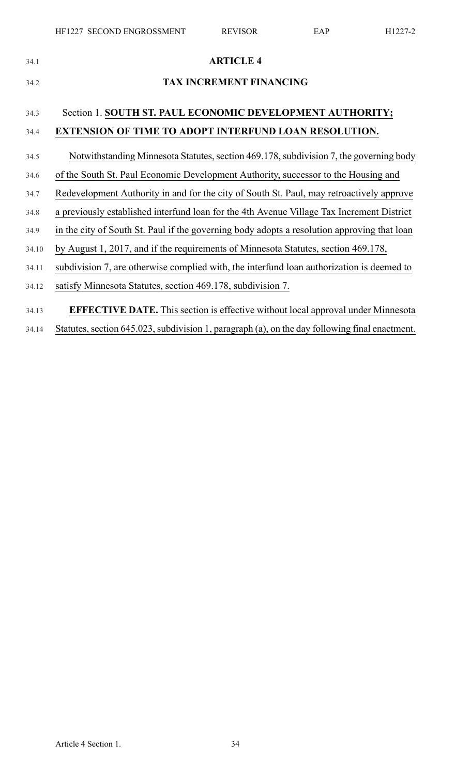| 34.1  | <b>ARTICLE 4</b>                                                                            |
|-------|---------------------------------------------------------------------------------------------|
| 34.2  | <b>TAX INCREMENT FINANCING</b>                                                              |
| 34.3  | Section 1. SOUTH ST. PAUL ECONOMIC DEVELOPMENT AUTHORITY;                                   |
| 34.4  | <b>EXTENSION OF TIME TO ADOPT INTERFUND LOAN RESOLUTION.</b>                                |
| 34.5  | Notwithstanding Minnesota Statutes, section 469.178, subdivision 7, the governing body      |
| 34.6  | of the South St. Paul Economic Development Authority, successor to the Housing and          |
| 34.7  | Redevelopment Authority in and for the city of South St. Paul, may retroactively approve    |
| 34.8  | a previously established interfund loan for the 4th Avenue Village Tax Increment District   |
| 34.9  | in the city of South St. Paul if the governing body adopts a resolution approving that loan |
| 34.10 | by August 1, 2017, and if the requirements of Minnesota Statutes, section 469.178,          |
| 34.11 | subdivision 7, are otherwise complied with, the interfund loan authorization is deemed to   |
| 34.12 | satisfy Minnesota Statutes, section 469.178, subdivision 7.                                 |
| 34.13 | <b>EFFECTIVE DATE.</b> This section is effective without local approval under Minnesota     |

34.14 Statutes, section 645.023, subdivision 1, paragraph (a), on the day following final enactment.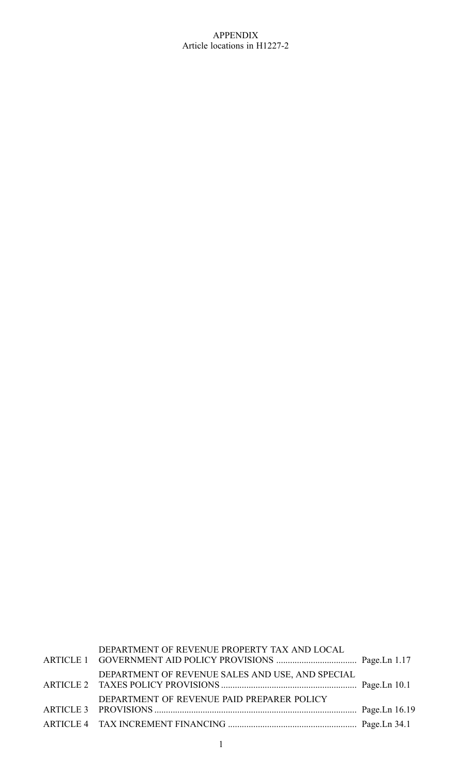#### APPENDIX Article locations in H1227-2

| DEPARTMENT OF REVENUE PROPERTY TAX AND LOCAL     |  |
|--------------------------------------------------|--|
| DEPARTMENT OF REVENUE SALES AND USE, AND SPECIAL |  |
| DEPARTMENT OF REVENUE PAID PREPARER POLICY       |  |
|                                                  |  |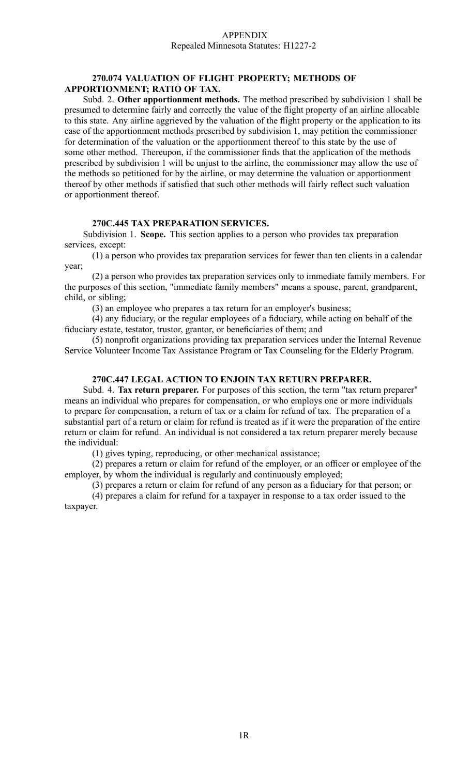#### APPENDIX Repealed Minnesota Statutes: H1227-2

#### **270.074 VALUATION OF FLIGHT PROPERTY; METHODS OF APPORTIONMENT; RATIO OF TAX.**

Subd. 2. **Other apportionment methods.** The method prescribed by subdivision 1 shall be presumed to determine fairly and correctly the value of the flight property of an airline allocable to this state. Any airline aggrieved by the valuation of the flight property or the application to its case of the apportionment methods prescribed by subdivision 1, may petition the commissioner for determination of the valuation or the apportionment thereof to this state by the use of some other method. Thereupon, if the commissioner finds that the application of the methods prescribed by subdivision 1 will be unjust to the airline, the commissioner may allow the use of the methods so petitioned for by the airline, or may determine the valuation or apportionment thereof by other methods if satisfied that such other methods will fairly reflect such valuation or apportionment thereof.

#### **270C.445 TAX PREPARATION SERVICES.**

Subdivision 1. **Scope.** This section applies to <sup>a</sup> person who provides tax preparation services, except:

(1) <sup>a</sup> person who provides tax preparation services for fewer than ten clients in <sup>a</sup> calendar year;

(2) <sup>a</sup> person who provides tax preparation services only to immediate family members. For the purposes of this section, "immediate family members" means <sup>a</sup> spouse, parent, grandparent, child, or sibling;

(3) an employee who prepares <sup>a</sup> tax return for an employer's business;

(4) any fiduciary, or the regular employees of <sup>a</sup> fiduciary, while acting on behalf of the fiduciary estate, testator, trustor, grantor, or beneficiaries of them; and

(5) nonprofit organizations providing tax preparation services under the Internal Revenue Service Volunteer Income Tax Assistance Program or Tax Counseling for the Elderly Program.

#### **270C.447 LEGAL ACTION TO ENJOIN TAX RETURN PREPARER.**

Subd. 4. **Tax return preparer.** For purposes of this section, the term "tax return preparer" means an individual who prepares for compensation, or who employs one or more individuals to prepare for compensation, <sup>a</sup> return of tax or <sup>a</sup> claim for refund of tax. The preparation of <sup>a</sup> substantial par<sup>t</sup> of <sup>a</sup> return or claim for refund is treated as if it were the preparation of the entire return or claim for refund. An individual is not considered <sup>a</sup> tax return preparer merely because the individual:

(1) gives typing, reproducing, or other mechanical assistance;

(2) prepares <sup>a</sup> return or claim for refund of the employer, or an officer or employee of the employer, by whom the individual is regularly and continuously employed;

(3) prepares <sup>a</sup> return or claim for refund of any person as <sup>a</sup> fiduciary for that person; or

(4) prepares <sup>a</sup> claim for refund for <sup>a</sup> taxpayer in response to <sup>a</sup> tax order issued to the taxpayer.